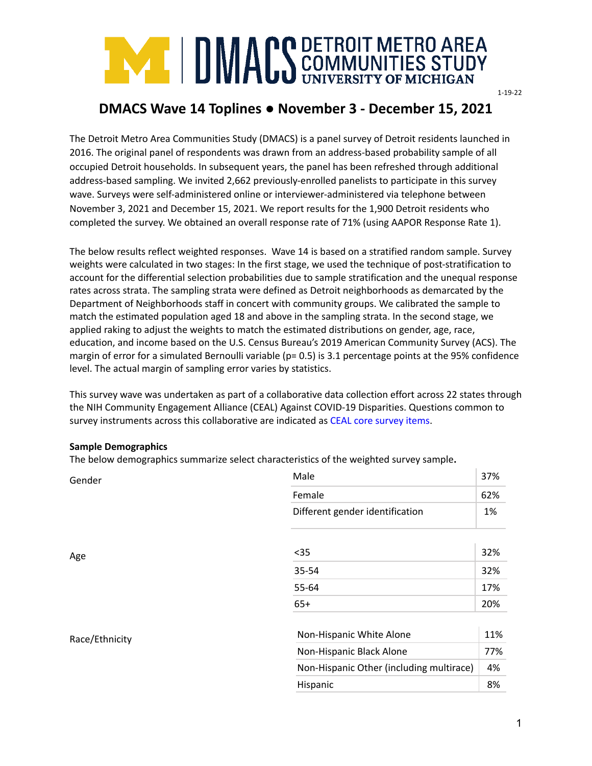

# **DMACS Wave 14 Toplines ● November 3 - December 15, 2021**

The Detroit Metro Area Communities Study (DMACS) is a panel survey of Detroit residents launched in 2016. The original panel of respondents was drawn from an address-based probability sample of all occupied Detroit households. In subsequent years, the panel has been refreshed through additional address-based sampling. We invited 2,662 previously-enrolled panelists to participate in this survey wave. Surveys were self-administered online or interviewer-administered via telephone between November 3, 2021 and December 15, 2021. We report results for the 1,900 Detroit residents who completed the survey. We obtained an overall response rate of 71% (using AAPOR Response Rate 1).

The below results reflect weighted responses. Wave 14 is based on a stratified random sample. Survey weights were calculated in two stages: In the first stage, we used the technique of post-stratification to account for the differential selection probabilities due to sample stratification and the unequal response rates across strata. The sampling strata were defined as Detroit neighborhoods as demarcated by the Department of Neighborhoods staff in concert with community groups. We calibrated the sample to match the estimated population aged 18 and above in the sampling strata. In the second stage, we applied raking to adjust the weights to match the estimated distributions on gender, age, race, education, and income based on the U.S. Census Bureau's 2019 American Community Survey (ACS). The margin of error for a simulated Bernoulli variable (p= 0.5) is 3.1 percentage points at the 95% confidence level. The actual margin of sampling error varies by statistics.

This survey wave was undertaken as part of a collaborative data collection effort across 22 states through the NIH Community Engagement Alliance (CEAL) Against COVID-19 Disparities. Questions common to survey instruments across this collaborative are indicated as CEAL core survey items.

#### **Sample Demographics**

The below demographics summarize select characteristics of the weighted survey sample**.**

| Female<br>62%<br>Different gender identification<br>1%<br>$35$<br>32%<br>Age<br>35-54<br>32%<br>17%<br>55-64<br>$65+$<br>20%<br>Non-Hispanic White Alone<br>Race/Ethnicity<br>Non-Hispanic Black Alone | Gender | Male                                     | 37% |
|--------------------------------------------------------------------------------------------------------------------------------------------------------------------------------------------------------|--------|------------------------------------------|-----|
|                                                                                                                                                                                                        |        |                                          |     |
|                                                                                                                                                                                                        |        |                                          |     |
|                                                                                                                                                                                                        |        |                                          |     |
|                                                                                                                                                                                                        |        |                                          |     |
|                                                                                                                                                                                                        |        |                                          |     |
|                                                                                                                                                                                                        |        |                                          |     |
|                                                                                                                                                                                                        |        |                                          | 11% |
|                                                                                                                                                                                                        |        |                                          | 77% |
| 4%                                                                                                                                                                                                     |        | Non-Hispanic Other (including multirace) |     |
| Hispanic<br>8%                                                                                                                                                                                         |        |                                          |     |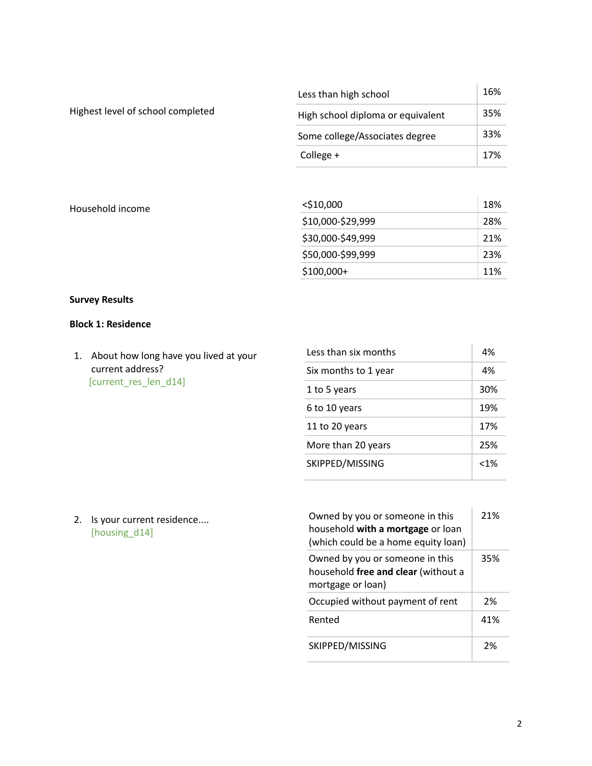|                                   | Less than high school             | 16% |
|-----------------------------------|-----------------------------------|-----|
| Highest level of school completed | High school diploma or equivalent | 35% |
|                                   | Some college/Associates degree    | 33% |
|                                   | College +                         | 17% |
|                                   |                                   |     |
| Household income                  | $<$ \$10,000                      | 18% |

| $<$ \$10,000      | 18% |
|-------------------|-----|
| \$10,000-\$29,999 | 28% |
| \$30,000-\$49,999 | 21% |
| \$50,000-\$99,999 | 23% |
| \$100,000+        | 11% |

 $\mathbb{I}$ 

# **Survey Results**

## **Block 1: Residence**

1. About how long have you lived at your current address? [current\_res\_len\_d14]

| Less than six months | 4%      |
|----------------------|---------|
| Six months to 1 year | 4%      |
| 1 to 5 years         | 30%     |
| 6 to 10 years        | 19%     |
| 11 to 20 years       | 17%     |
| More than 20 years   | 25%     |
| SKIPPED/MISSING      | $< 1\%$ |

2. Is your current residence.... [housing\_d14]

| Owned by you or someone in this<br>household with a mortgage or loan<br>(which could be a home equity loan) | 21% |
|-------------------------------------------------------------------------------------------------------------|-----|
| Owned by you or someone in this<br>household free and clear (without a<br>mortgage or loan)                 | 35% |
| Occupied without payment of rent                                                                            | 2%  |
| Rented                                                                                                      | 41% |
| SKIPPED/MISSING                                                                                             | 2%  |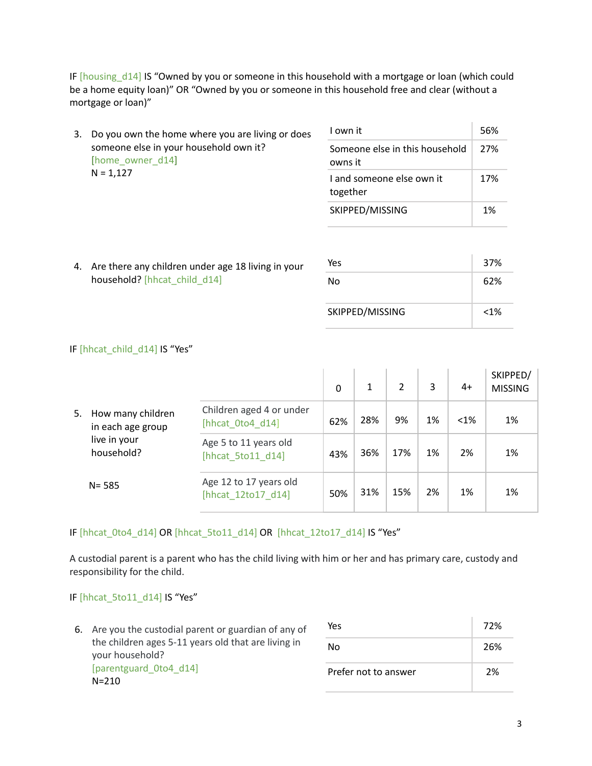IF [housing\_d14] IS "Owned by you or someone in this household with a mortgage or loan (which could be a home equity loan)" OR "Owned by you or someone in this household free and clear (without a mortgage or loan)"

| 3. Do you own the home where you are living or does | I own it                                                                  |                                           |     |
|-----------------------------------------------------|---------------------------------------------------------------------------|-------------------------------------------|-----|
|                                                     | someone else in your household own it?<br>[home owner d14]<br>$N = 1,127$ | Someone else in this household<br>owns it | 27% |
|                                                     |                                                                           | I and someone else own it<br>together     | 17% |
|                                                     |                                                                           | SKIPPED/MISSING                           | 1%  |

4. Are there any children under age 18 living in your household? [hhcat\_child\_d14]

| Yes             | 37%     |
|-----------------|---------|
| No              | 62%     |
| SKIPPED/MISSING | $< 1\%$ |

### IF [hhcat\_child\_d14] IS "Yes"

|    |                                        |                                              | 0   | 1   | 2   | 3  | $4+$    | SKIPPED/<br><b>MISSING</b> |
|----|----------------------------------------|----------------------------------------------|-----|-----|-----|----|---------|----------------------------|
| 5. | How many children<br>in each age group | Children aged 4 or under<br>[hhcat 0to4 d14] | 62% | 28% | 9%  | 1% | $< 1\%$ | 1%                         |
|    | live in your<br>household?             | Age 5 to 11 years old<br>[hhcat 5to11 d14]   | 43% | 36% | 17% | 1% | 2%      | 1%                         |
|    | $N = 585$                              | Age 12 to 17 years old<br>[hhcat 12to17 d14] | 50% | 31% | 15% | 2% | 1%      | 1%                         |

## IF [hhcat\_0to4\_d14] OR [hhcat\_5to11\_d14] OR [hhcat\_12to17\_d14] IS "Yes"

A custodial parent is a parent who has the child living with him or her and has primary care, custody and responsibility for the child.

## IF [hhcat\_5to11\_d14] IS "Yes"

6. Are you the custodial parent or guardian of any of the children ages 5-11 years old that are living in your household? [parentguard\_0to4\_d14] N=210  $Yes$  72% No 26% Prefer not to answer 2%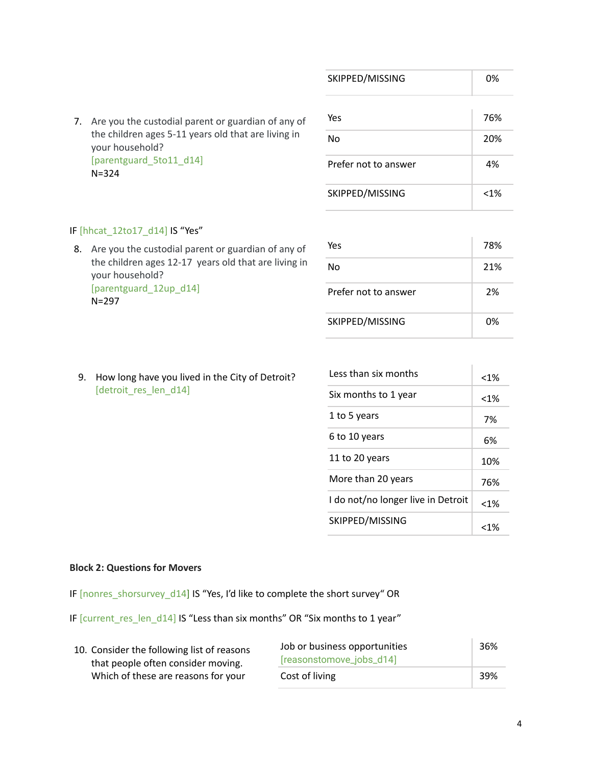|                                                                        | SKIPPED/MISSING      | 0%      |
|------------------------------------------------------------------------|----------------------|---------|
| Are you the custodial parent or guardian of any of<br>7.               | Yes                  | 76%     |
| the children ages 5-11 years old that are living in<br>your household? | No                   | 20%     |
| [parentguard 5to11 d14]<br>$N = 324$                                   | Prefer not to answer | 4%      |
|                                                                        | SKIPPED/MISSING      | $< 1\%$ |

## IF [hhcat\_12to17\_d14] IS "Yes"

8. Are you the custodial parent or guardian of any of the children ages 12-17 years old that are living in your household? [parentguard\_12up\_d14] N=297

| Yes                  | 78% |
|----------------------|-----|
| N٥                   | 21% |
| Prefer not to answer | 2%  |
| SKIPPED/MISSING      | በ%  |

9. How long have you lived in the City of Detroit? [detroit\_res\_len\_d14]

| Less than six months               | $< 1\%$ |
|------------------------------------|---------|
| Six months to 1 year               | $< 1\%$ |
| 1 to 5 years                       | 7%      |
| 6 to 10 years                      | 6%      |
| 11 to 20 years                     | 10%     |
| More than 20 years                 | 76%     |
| I do not/no longer live in Detroit | $< 1\%$ |
| SKIPPED/MISSING                    | <1%     |

#### **Block 2: Questions for Movers**

IF [nonres\_shorsurvey\_d14] IS "Yes, I'd like to complete the short survey" OR

IF [current\_res\_len\_d14] IS "Less than six months" OR "Six months to 1 year"

| 10. Consider the following list of reasons | Job or business opportunities |     |
|--------------------------------------------|-------------------------------|-----|
| that people often consider moving.         | [reasonstomove_jobs_d14]      |     |
| Which of these are reasons for your        | Cost of living                | 39% |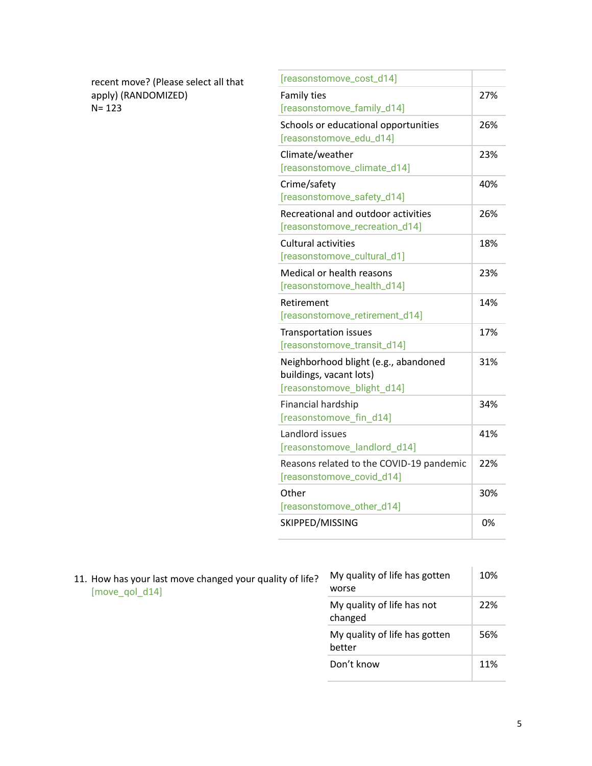| recent move? (Please select all that |
|--------------------------------------|
| apply) (RANDOMIZED)                  |
| $N = 123$                            |

| [reasonstomove_cost_d14]                 |     |
|------------------------------------------|-----|
| Family ties                              | 27% |
| [reasonstomove_family_d14]               |     |
| Schools or educational opportunities     | 26% |
| [reasonstomove_edu_d14]                  |     |
| Climate/weather                          | 23% |
| [reasonstomove_climate_d14]              |     |
| Crime/safety                             | 40% |
| [reasonstomove_safety_d14]               |     |
| Recreational and outdoor activities      | 26% |
| [reasonstomove_recreation_d14]           |     |
| <b>Cultural activities</b>               | 18% |
| [reasonstomove_cultural_d1]              |     |
| Medical or health reasons                | 23% |
| [reasonstomove_health_d14]               |     |
| Retirement                               | 14% |
| [reasonstomove_retirement_d14]           |     |
| <b>Transportation issues</b>             | 17% |
| [reasonstomove_transit_d14]              |     |
| Neighborhood blight (e.g., abandoned     | 31% |
| buildings, vacant lots)                  |     |
| [reasonstomove_blight_d14]               |     |
| Financial hardship                       | 34% |
| [reasonstomove_fin_d14]                  |     |
| Landlord issues                          | 41% |
| [reasonstomove_landlord_d14]             |     |
| Reasons related to the COVID-19 pandemic | 22% |
| [reasonstomove_covid_d14]                |     |
| Other                                    | 30% |
| [reasonstomove_other_d14]                |     |
| SKIPPED/MISSING                          | 0%  |

| 11. How has your last move changed your quality of life? | TWIY QUAILLY OF THE HAS R     |
|----------------------------------------------------------|-------------------------------|
| [move qol d14]                                           | worse                         |
|                                                          | My quality of life has n<br>. |

| My quality of life has gotten<br>worse  | 10% |
|-----------------------------------------|-----|
| My quality of life has not<br>changed   | 22% |
| My quality of life has gotten<br>hetter | 56% |
| Don't know                              | 11% |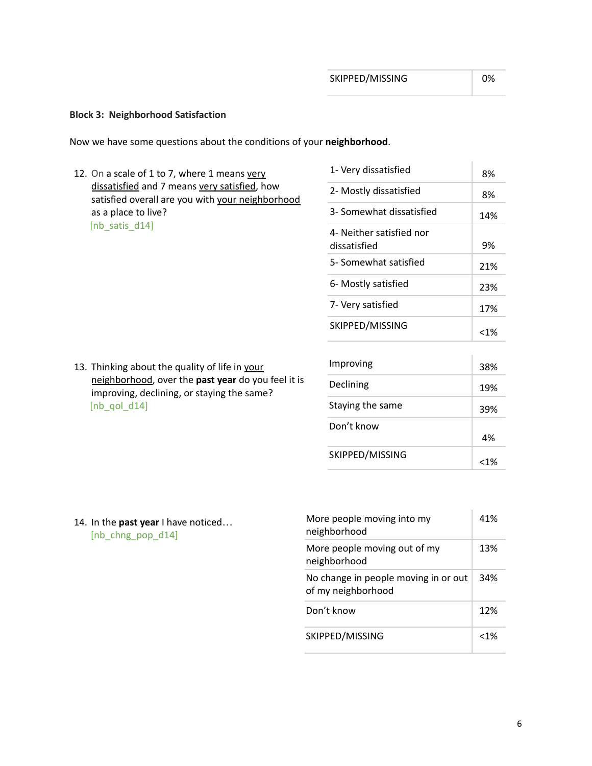<1%

#### **Block 3: Neighborhood Satisfaction**

Now we have some questions about the conditions of your **neighborhood**.

12. On a scale of 1 to 7, where 1 means very dissatisfied and 7 means very satisfied, how satisfied overall are you with your neighborhood as a place to live? [nb\_satis\_d14]

| 1- Very dissatisfied                     | 8%     |
|------------------------------------------|--------|
| 2- Mostly dissatisfied                   | 8%     |
| 3- Somewhat dissatisfied                 | 14%    |
| 4- Neither satisfied nor<br>dissatisfied | 9%     |
| 5- Somewhat satisfied                    | 21%    |
| 6- Mostly satisfied                      | 23%    |
| 7- Very satisfied                        | 17%    |
| SKIPPED/MISSING                          | $<$ 1% |
|                                          |        |
| Improving                                | 38%    |
| Declining                                | 19%    |
| Staying the same                         | 39%    |
| Don't know                               | 4%     |
| SKIPPED/MISSING                          | /۱۵ -  |

13. Thinking about the quality of life in your neighborhood, over the **past year** do you feel it is improving, declining, or staying the same? [ $nb$  qol  $d14$ ]

14. In the **past year** I have noticed… [nb\_chng\_pop\_d14]

| More people moving into my<br>neighborhood                 | 41%  |
|------------------------------------------------------------|------|
| More people moving out of my<br>neighborhood               | 13%  |
| No change in people moving in or out<br>of my neighborhood | 34%  |
| Don't know                                                 | 12%  |
| SKIPPED/MISSING                                            | 1% > |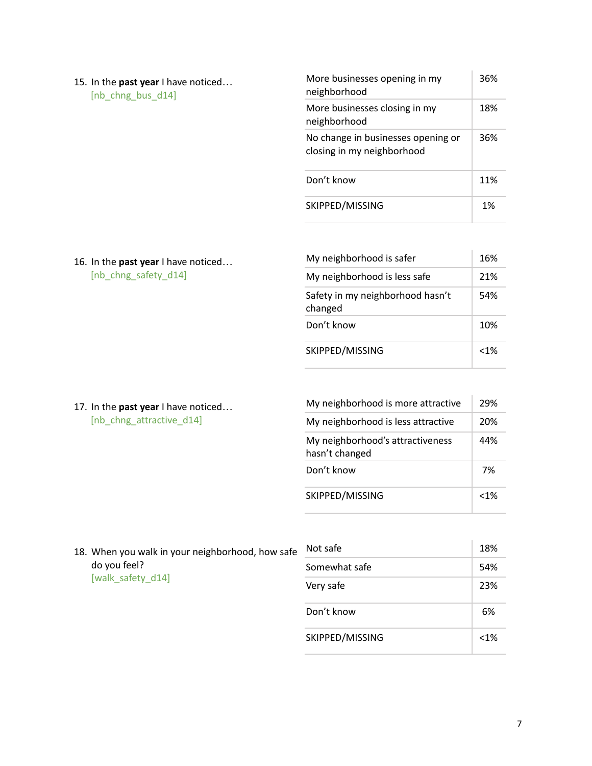| 15. In the <b>past year</b> I have noticed<br>[nb chng bus d14] | More businesses opening in my<br>neighborhood                    | 36% |
|-----------------------------------------------------------------|------------------------------------------------------------------|-----|
|                                                                 | More businesses closing in my<br>neighborhood                    | 18% |
|                                                                 | No change in businesses opening or<br>closing in my neighborhood | 36% |
|                                                                 | Don't know                                                       | 11% |
|                                                                 | SKIPPED/MISSING                                                  | 1%  |

16. In the **past year** I have noticed… [nb\_chng\_safety\_d14]

17. In the **past year** I have noticed… [nb\_chng\_attractive\_d14]

| 16%     |
|---------|
| 21%     |
| 54%     |
| 10%     |
| $< 1\%$ |
|         |

My neighborhood is more attractive  $\begin{array}{|c|c|} 29\% \end{array}$ My neighborhood is less attractive 20% My neighborhood's attractiveness hasn't changed 44% Don't know 7% SKIPPED/MISSING <1%

18. When you walk in your neighborhood, how safe do you feel? [walk\_safety\_d14]

| Not safe        | 18%     |
|-----------------|---------|
| Somewhat safe   | 54%     |
| Very safe       | 23%     |
| Don't know      | 6%      |
| SKIPPED/MISSING | $< 1\%$ |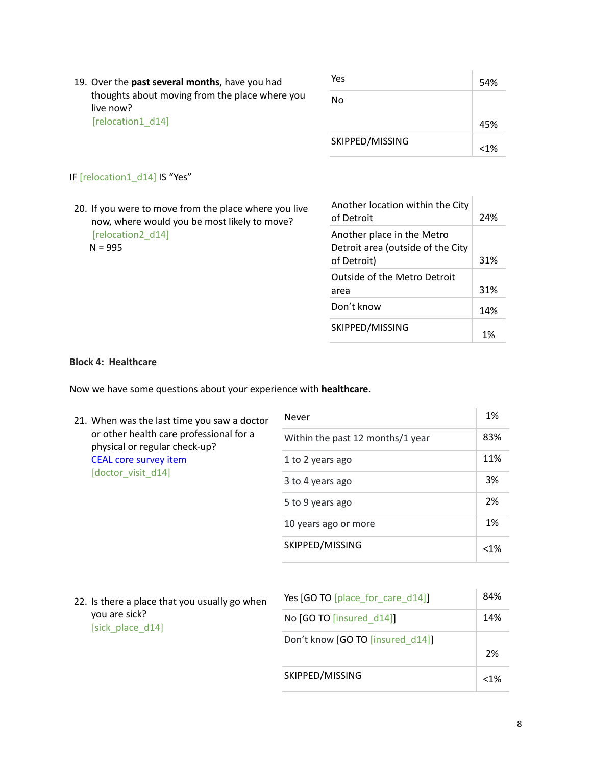| 19. Over the past several months, have you had<br>thoughts about moving from the place where you<br>live now?<br>[relocation1 d14] | Yes             | 54% |
|------------------------------------------------------------------------------------------------------------------------------------|-----------------|-----|
|                                                                                                                                    | No              | 45% |
|                                                                                                                                    | SKIPPED/MISSING | 1%> |

# IF [relocation1\_d14] IS "Yes"

20. If you were to move from the place where you live now, where would you be most likely to move? [relocation2\_d14]  $N = 995$ 

| Another location within the City<br>of Detroit                                 | 24% |
|--------------------------------------------------------------------------------|-----|
| Another place in the Metro<br>Detroit area (outside of the City<br>of Detroit) | 31% |
| <b>Outside of the Metro Detroit</b><br>area                                    | 31% |
| Don't know                                                                     | 14% |
| SKIPPED/MISSING                                                                | 1%  |

## **Block 4: Healthcare**

Now we have some questions about your experience with **healthcare**.

| 21. When was the last time you saw a doctor<br>or other health care professional for a<br>physical or regular check-up?<br><b>CEAL core survey item</b> | Never                            | 1%                   |         |
|---------------------------------------------------------------------------------------------------------------------------------------------------------|----------------------------------|----------------------|---------|
|                                                                                                                                                         | Within the past 12 months/1 year | 83%                  |         |
|                                                                                                                                                         | 1 to 2 years ago                 | 11%                  |         |
|                                                                                                                                                         | [doctor visit d14]               | 3 to 4 years ago     | 3%      |
|                                                                                                                                                         |                                  | 5 to 9 years ago     | 2%      |
|                                                                                                                                                         |                                  | 10 years ago or more | 1%      |
|                                                                                                                                                         |                                  | SKIPPED/MISSING      | $< 1\%$ |
|                                                                                                                                                         |                                  |                      |         |

22. Is there a place that you usually go when you are sick? [sick\_place\_d14]

| Yes [GO TO [place for care d14]] | 84%     |
|----------------------------------|---------|
| No [GO TO [insured d14]]         | 14%     |
| Don't know [GO TO [insured d14]] | 2%      |
| SKIPPED/MISSING                  | $< 1\%$ |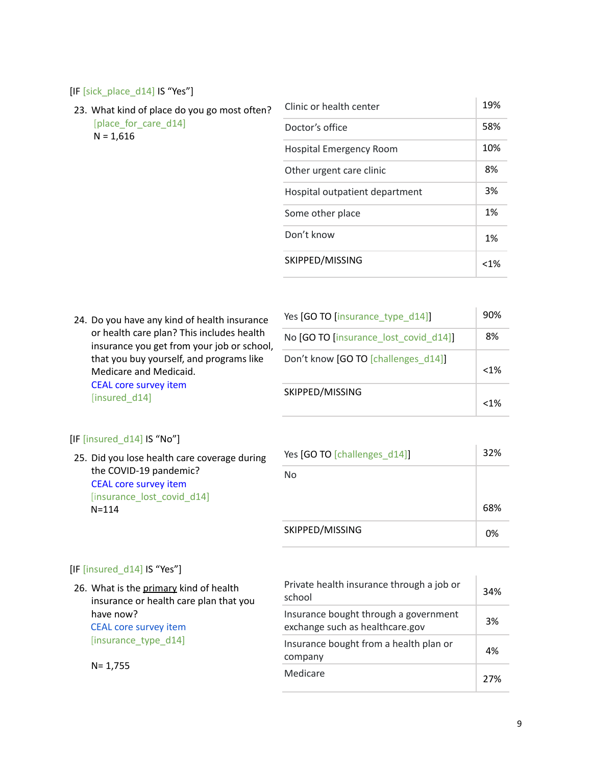#### [IF [sick\_place\_d14] IS "Yes"]

23. What kind of place do you go most often? [place\_for\_care\_d14]  $N = 1,616$ 

| Clinic or health center        | 19%     |
|--------------------------------|---------|
| Doctor's office                | 58%     |
| Hospital Emergency Room        | 10%     |
| Other urgent care clinic       | 8%      |
| Hospital outpatient department | 3%      |
| Some other place               | 1%      |
| Don't know                     | 1%      |
| SKIPPED/MISSING                | $< 1\%$ |

24. Do you have any kind of health insurance or health care plan? This includes health insurance you get from your job or school, that you buy yourself, and programs like Medicare and Medicaid. CEAL core survey item

L.

| Yes [GO TO [insurance type d14]]      | 90%     |
|---------------------------------------|---------|
| No [GO TO [insurance_lost_covid_d14]] | 8%      |
| Don't know [GO TO [challenges d14]]   | $< 1\%$ |
| SKIPPED/MISSING                       | $< 1\%$ |

#### [IF [insured\_d14] IS "No"]

[insured\_d14]

25. Did you lose health care coverage during the COVID-19 pandemic? CEAL core survey item [insurance\_lost\_covid\_d14] N=114

| Yes [GO TO [challenges d14]] | 32% |
|------------------------------|-----|
| No                           |     |
|                              | 68% |
| SKIPPED/MISSING              | 0%  |

#### [IF [insured\_d14] IS "Yes"]

26. What is the primary kind of health insurance or health care plan that you have now? CEAL core survey item [insurance\_type\_d14]

N= 1,755

| Private health insurance through a job or<br>school                      | 34% |
|--------------------------------------------------------------------------|-----|
| Insurance bought through a government<br>exchange such as healthcare.gov | 3%  |
| Insurance bought from a health plan or<br>company                        | 4%  |
| Medicare                                                                 | 27% |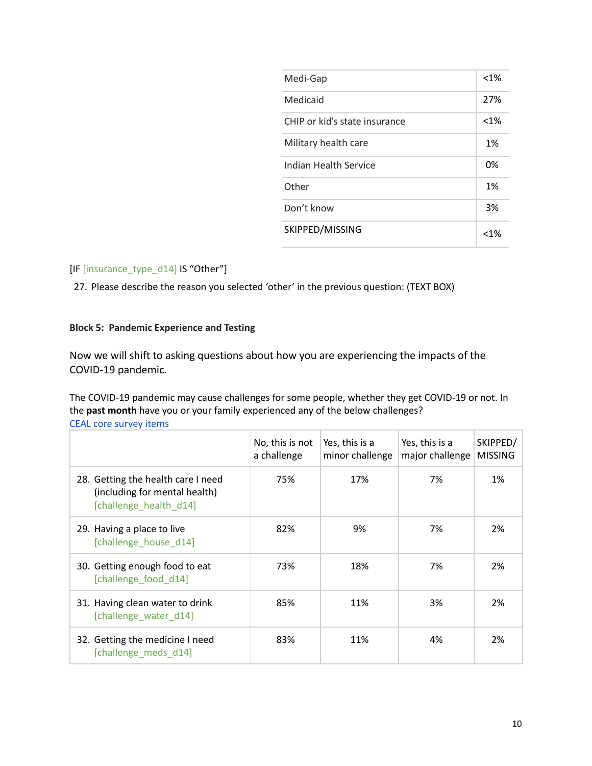| Medi-Gap                      | $< 1\%$ |
|-------------------------------|---------|
| Medicaid                      | 27%     |
| CHIP or kid's state insurance | $< 1\%$ |
| Military health care          | 1%      |
| Indian Health Service         | 0%      |
| Other                         | 1%      |
| Don't know                    | 3%      |
| SKIPPED/MISSING               | <1%     |

## [IF [insurance\_type\_d14] IS "Other"]

27. Please describe the reason you selected 'other' in the previous question: (TEXT BOX)

## **Block 5: Pandemic Experience and Testing**

Now we will shift to asking questions about how you are experiencing the impacts of the COVID-19 pandemic.

The COVID-19 pandemic may cause challenges for some people, whether they get COVID-19 or not. In the **past month** have you or your family experienced any of the below challenges? CEAL core survey items

|                                                                                               | No, this is not<br>a challenge | Yes, this is a<br>minor challenge | Yes, this is a<br>major challenge | SKIPPED/<br><b>MISSING</b> |
|-----------------------------------------------------------------------------------------------|--------------------------------|-----------------------------------|-----------------------------------|----------------------------|
| 28. Getting the health care I need<br>(including for mental health)<br>[challenge health d14] | 75%                            | 17%                               | 7%                                | 1%                         |
| 29. Having a place to live<br>[challenge house d14]                                           | 82%                            | 9%                                | 7%                                | 2%                         |
| 30. Getting enough food to eat<br>[challenge food d14]                                        | 73%                            | 18%                               | 7%                                | 2%                         |
| 31. Having clean water to drink<br>[challenge water d14]                                      | 85%                            | 11%                               | 3%                                | 2%                         |
| 32. Getting the medicine I need<br>[challenge meds d14]                                       | 83%                            | 11%                               | 4%                                | 2%                         |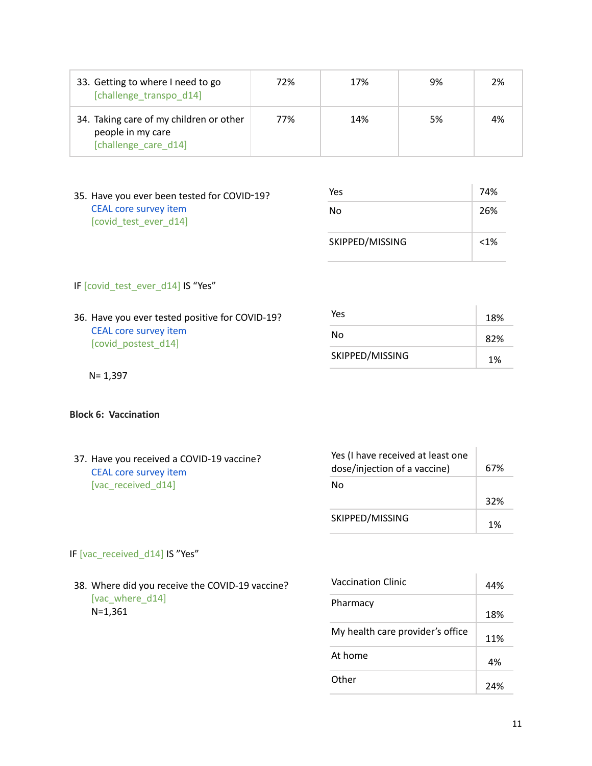| 33. Getting to where I need to go<br>[challenge transpo d14]                         | 72% | 17% | 9%  | 2% |
|--------------------------------------------------------------------------------------|-----|-----|-----|----|
| 34. Taking care of my children or other<br>people in my care<br>[challenge care d14] | 77% | 14% | .5% | 4% |

35. Have you ever been tested for COVID-19? CEAL core survey item [covid\_test\_ever\_d14]

| Yes             | 74%  |
|-----------------|------|
| No              | 26%  |
| SKIPPED/MISSING | < 1% |

## IF [covid\_test\_ever\_d14] IS "Yes"

36. Have you ever tested positive for COVID-19? CEAL core survey item [covid\_postest\_d14]

| Yes             | 18% |
|-----------------|-----|
| No              | 82% |
| SKIPPED/MISSING | 1%  |

 $\mathbb{I}$ 

N= 1,397

#### **Block 6: Vaccination**

| 37. Have you received a COVID-19 vaccine?<br><b>CEAL core survey item</b> | Yes (I have received at least one<br>dose/injection of a vaccine) | 67% |
|---------------------------------------------------------------------------|-------------------------------------------------------------------|-----|
| [vac received d14]                                                        | No                                                                |     |
|                                                                           |                                                                   | 32% |
|                                                                           | SKIPPED/MISSING                                                   | 1%  |
|                                                                           |                                                                   |     |

## IF [vac\_received\_d14] IS "Yes"

38. Where did you receive the COVID-19 vaccine? [vac\_where\_d14] N=1,361

| <b>Vaccination Clinic</b>        | 44% |
|----------------------------------|-----|
| Pharmacy                         | 18% |
| My health care provider's office | 11% |
| At home                          | 4%  |
| Other                            | 24% |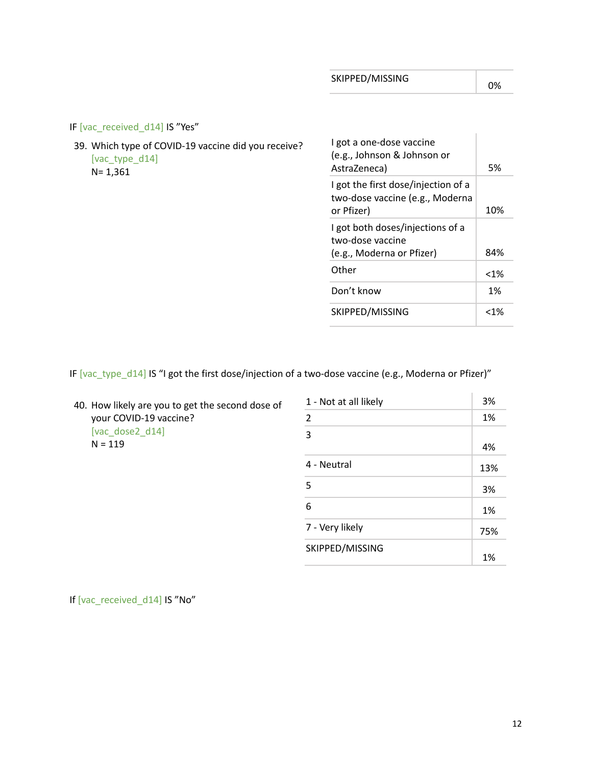$\mathbf{r}$ 

IF [vac\_received\_d14] IS "Yes"

39. Which type of COVID-19 vaccine did you receive? [vac\_type\_d14] N= 1,361

| I got a one-dose vaccine<br>(e.g., Johnson & Johnson or<br>AstraZeneca)              | 5%     |
|--------------------------------------------------------------------------------------|--------|
| I got the first dose/injection of a<br>two-dose vaccine (e.g., Moderna<br>or Pfizer) | 10%    |
| I got both doses/injections of a<br>two-dose vaccine<br>(e.g., Moderna or Pfizer)    | 84%    |
| Other                                                                                | $<$ 1% |
| Don't know                                                                           | 1%     |
| SKIPPED/MISSING                                                                      | <1%    |

IF [vac\_type\_d14] IS "I got the first dose/injection of a two-dose vaccine (e.g., Moderna or Pfizer)"

| 40. How likely are you to get the second dose of |
|--------------------------------------------------|
| your COVID-19 vaccine?                           |
| [vac dose2 $d14$ ]                               |
| $N = 119$                                        |
|                                                  |

| 1 - Not at all likely | 3%  |
|-----------------------|-----|
| $\overline{2}$        | 1%  |
| 3                     |     |
|                       | 4%  |
| 4 - Neutral           | 13% |
| 5                     | 3%  |
| 6                     | 1%  |
| 7 - Very likely       | 75% |
| SKIPPED/MISSING       | 1%  |

If [vac\_received\_d14] IS "No"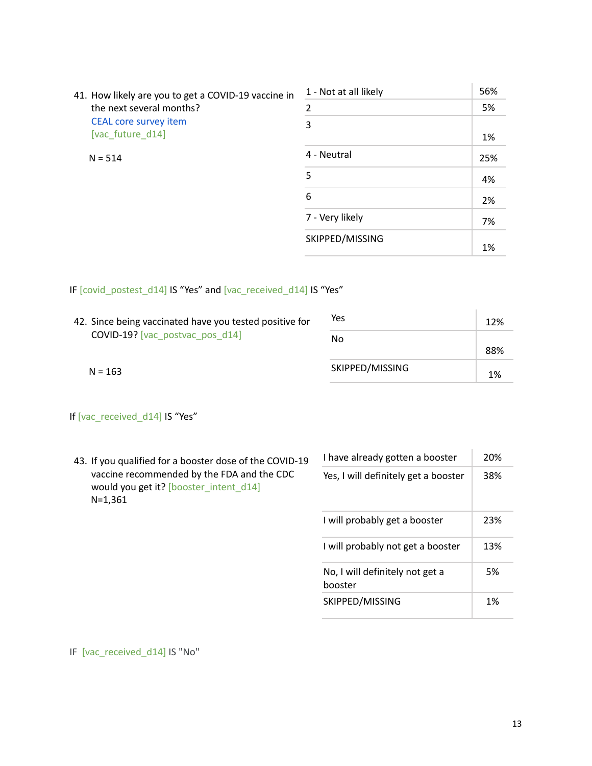| 41. How likely are you to get a COVID-19 vaccine in<br>the next several months? | 1 - Not at all likely | 56% |
|---------------------------------------------------------------------------------|-----------------------|-----|
|                                                                                 | 2                     | 5%  |
| <b>CEAL core survey item</b><br>[vac_future_d14]                                | 3                     | 1%  |
| $N = 514$                                                                       | 4 - Neutral           | 25% |
|                                                                                 | 5                     | 4%  |
|                                                                                 | 6                     | 2%  |
|                                                                                 | 7 - Very likely       | 7%  |
|                                                                                 | SKIPPED/MISSING       | 1%  |

# IF [covid\_postest\_d14] IS "Yes" and [vac\_received\_d14] IS "Yes"

| 42. Since being vaccinated have you tested positive for | Yes             | 12% |
|---------------------------------------------------------|-----------------|-----|
| COVID-19? [vac postvac pos d14]                         | No              | 88% |
| $N = 163$                                               | SKIPPED/MISSING | 1%  |

# If [vac\_received\_d14] IS "Yes"

| 43. If you qualified for a booster dose of the COVID-19                                             | I have already gotten a booster            | 20% |
|-----------------------------------------------------------------------------------------------------|--------------------------------------------|-----|
| vaccine recommended by the FDA and the CDC<br>would you get it? [booster intent d14]<br>$N = 1,361$ | Yes, I will definitely get a booster       | 38% |
|                                                                                                     | I will probably get a booster              | 23% |
|                                                                                                     | I will probably not get a booster          | 13% |
|                                                                                                     | No, I will definitely not get a<br>booster | 5%  |
|                                                                                                     | SKIPPED/MISSING                            | 1%  |

# IF [vac\_received\_d14] IS "No"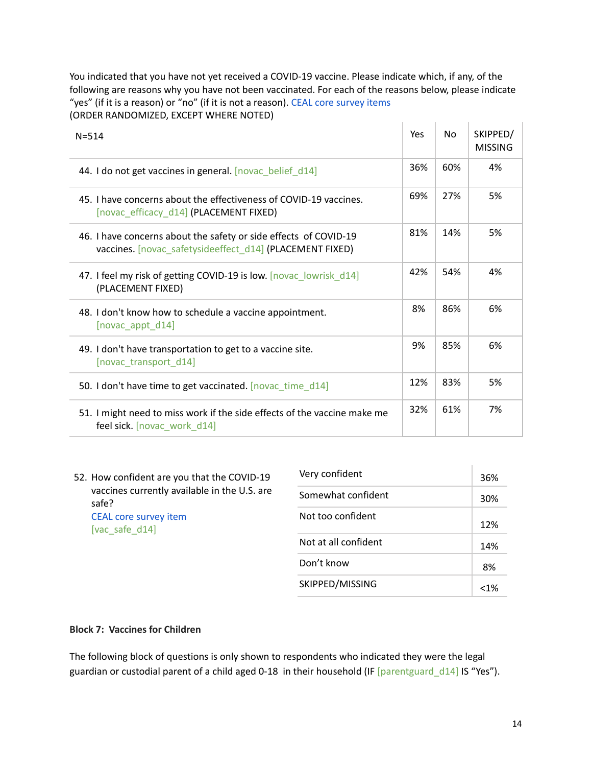You indicated that you have not yet received a COVID-19 vaccine. Please indicate which, if any, of the following are reasons why you have not been vaccinated. For each of the reasons below, please indicate "yes" (if it is a reason) or "no" (if it is not a reason). CEAL core survey items (ORDER RANDOMIZED, EXCEPT WHERE NOTED) The Control of the

| $N = 514$                                                                                                                    | Yes | No  | SKIPPED/<br><b>MISSING</b> |
|------------------------------------------------------------------------------------------------------------------------------|-----|-----|----------------------------|
| 44. I do not get vaccines in general. [novac_belief_d14]                                                                     | 36% | 60% | 4%                         |
| 45. I have concerns about the effectiveness of COVID-19 vaccines.<br>[novac_efficacy_d14] (PLACEMENT FIXED)                  | 69% | 27% | 5%                         |
| 46. I have concerns about the safety or side effects of COVID-19<br>vaccines. [novac safetysideeffect d14] (PLACEMENT FIXED) | 81% | 14% | 5%                         |
| 47. I feel my risk of getting COVID-19 is low. [novac_lowrisk_d14]<br>(PLACEMENT FIXED)                                      | 42% | 54% | 4%                         |
| 48. I don't know how to schedule a vaccine appointment.<br>[novac_appt_d14]                                                  | 8%  | 86% | 6%                         |
| 49. I don't have transportation to get to a vaccine site.<br>[novac_transport_d14]                                           | 9%  | 85% | 6%                         |
| 50. I don't have time to get vaccinated. [novac_time_d14]                                                                    | 12% | 83% | 5%                         |
| 51. I might need to miss work if the side effects of the vaccine make me<br>feel sick. [novac_work_d14]                      | 32% | 61% | 7%                         |
|                                                                                                                              |     |     |                            |

52. How confident are you that the COVID-19 vaccines currently available in the U.S. are safe? CEAL core survey item [vac\_safe\_d14]

| Very confident       | 36% |
|----------------------|-----|
| Somewhat confident   | 30% |
| Not too confident    | 12% |
| Not at all confident | 14% |
| Don't know           | 8%  |
| SKIPPED/MISSING      | <1% |

#### **Block 7: Vaccines for Children**

The following block of questions is only shown to respondents who indicated they were the legal guardian or custodial parent of a child aged 0-18 in their household (IF [parentguard\_d14] IS "Yes").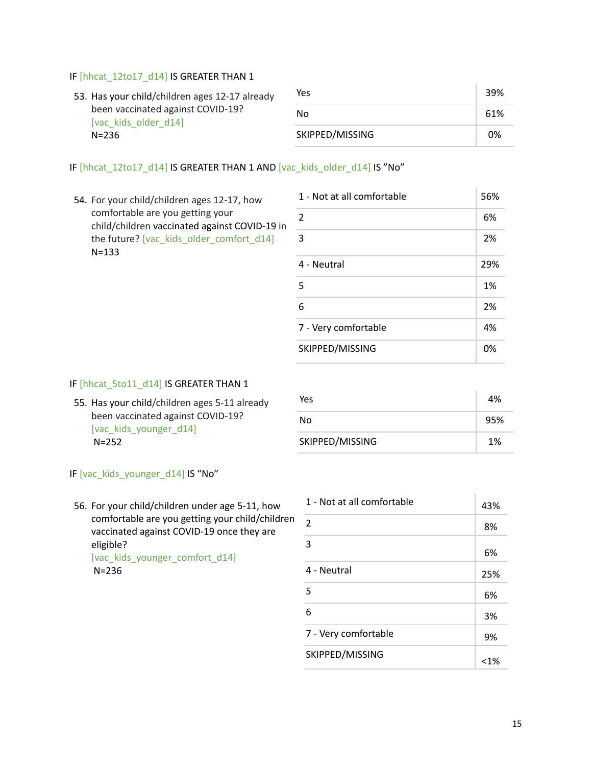#### IF [hhcat\_12to17\_d14] IS GREATER THAN 1

| 53. Has your child/children ages 12-17 already<br>been vaccinated against COVID-19?<br>[vac kids older d14] | Yes             | 39% |
|-------------------------------------------------------------------------------------------------------------|-----------------|-----|
|                                                                                                             | Nο              | 61% |
| $N = 236$                                                                                                   | SKIPPED/MISSING | 0%  |

#### IF [hhcat\_12to17\_d14] IS GREATER THAN 1 AND [vac\_kids\_older\_d14] IS "No"

54. For your child/children ages 12-17, how comfortable are you getting your child/children vaccinated against COVID-19 in the future? [vac\_kids\_older\_comfort\_d14] N=133

| 1 - Not at all comfortable | 56% |
|----------------------------|-----|
| $\overline{2}$             | 6%  |
| 3                          | 2%  |
| 4 - Neutral                | 29% |
| 5                          | 1%  |
| 6                          | 2%  |
| 7 - Very comfortable       | 4%  |
| SKIPPED/MISSING            | 0%  |

#### IF [hhcat\_5to11\_d14] IS GREATER THAN 1

55. Has your child/children ages 5-11 already been vaccinated against COVID-19? [vac\_kids\_younger\_d14] N=252

| Yes             | 4%  |
|-----------------|-----|
| No              | 95% |
| SKIPPED/MISSING | 1%  |

# IF [vac\_kids\_younger\_d14] IS "No"

56. For your child/children under age 5-11, how comfortable are you getting your child/children vaccinated against COVID-19 once they are eligible? [vac\_kids\_younger\_comfort\_d14] N=236

| 1 - Not at all comfortable | 43%    |
|----------------------------|--------|
| $\overline{2}$             | 8%     |
| 3                          | 6%     |
| 4 - Neutral                | 25%    |
| 5                          | 6%     |
| 6                          | 3%     |
| 7 - Very comfortable       | 9%     |
| SKIPPED/MISSING            | $<$ 1% |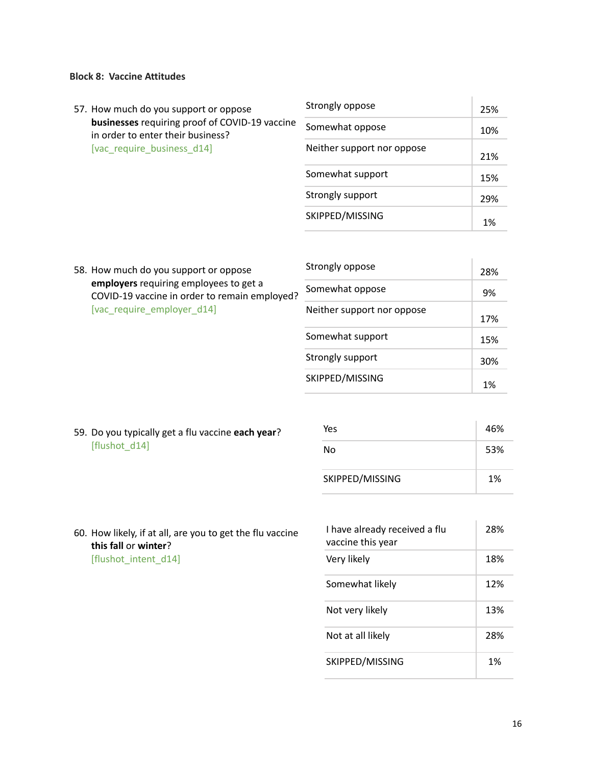## **Block 8: Vaccine Attitudes**

| 57. How much do you support or oppose<br>businesses requiring proof of COVID-19 vaccine<br>in order to enter their business?<br>[vac require business d14] | Strongly oppose            | 25% |
|------------------------------------------------------------------------------------------------------------------------------------------------------------|----------------------------|-----|
|                                                                                                                                                            | Somewhat oppose            | 10% |
|                                                                                                                                                            | Neither support nor oppose | 21% |
|                                                                                                                                                            | Somewhat support           | 15% |
|                                                                                                                                                            | Strongly support           | 29% |
|                                                                                                                                                            | SKIPPED/MISSING            | 1%  |

|                            | 58. How much do you support or oppose                                                   | Strongly oppose            | 28% |  |
|----------------------------|-----------------------------------------------------------------------------------------|----------------------------|-----|--|
|                            | employers requiring employees to get a<br>COVID-19 vaccine in order to remain employed? | Somewhat oppose            | 9%  |  |
| [vac_require_employer_d14] |                                                                                         | Neither support nor oppose |     |  |
|                            |                                                                                         | Somewhat sunnort           |     |  |

|                            | 28% |
|----------------------------|-----|
| Somewhat oppose            | 9%  |
| Neither support nor oppose | 17% |
| Somewhat support           | 15% |
| Strongly support           | 30% |
| SKIPPED/MISSING            | 1%  |

59. Do you typically get a flu vaccine **each year**? [flushot\_d14]

| Yes             | 46% |
|-----------------|-----|
| No              | 53% |
| SKIPPED/MISSING | 1%  |

60. How likely, if at all, are you to get the flu vaccine **this fall** or **winter**? [flushot\_intent\_d14]

| I have already received a flu<br>vaccine this year | 28% |
|----------------------------------------------------|-----|
| Very likely                                        | 18% |
| Somewhat likely                                    | 12% |
| Not very likely                                    | 13% |
| Not at all likely                                  | 28% |
| SKIPPED/MISSING                                    | 1%  |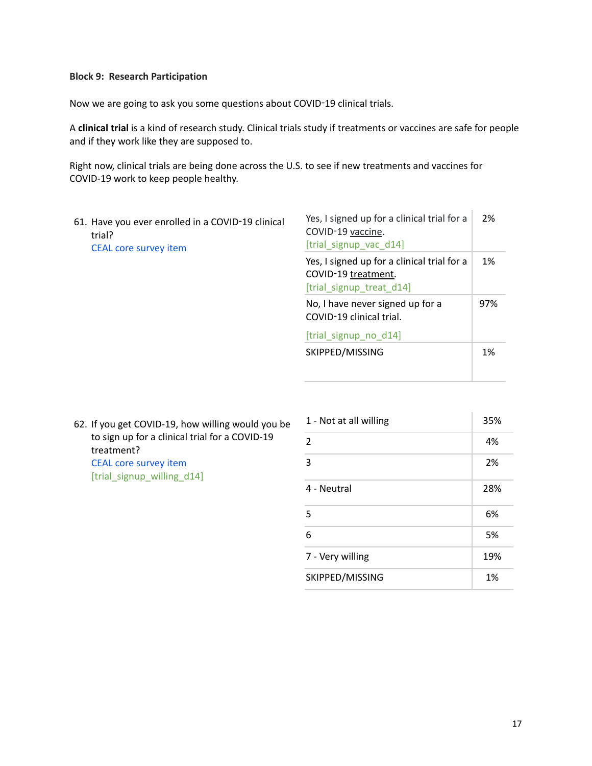#### **Block 9: Research Participation**

Now we are going to ask you some questions about COVID‑19 clinical trials.

A **clinical trial** is a kind of research study. Clinical trials study if treatments or vaccines are safe for people and if they work like they are supposed to.

Right now, clinical trials are being done across the U.S. to see if new treatments and vaccines for COVID-19 work to keep people healthy.

61. Have you ever enrolled in a COVID‑19 clinical trial? CEAL core survey item

| Yes, I signed up for a clinical trial for a<br>COVID-19 vaccine.<br>[trial signup vac d14]     | 2%  |
|------------------------------------------------------------------------------------------------|-----|
| Yes, I signed up for a clinical trial for a<br>COVID-19 treatment.<br>[trial signup treat d14] | 1%  |
| No, I have never signed up for a<br>COVID-19 clinical trial.                                   | 97% |
| [trial signup no d14]                                                                          |     |
| SKIPPED/MISSING                                                                                | 1%  |

 $\mathbf{r}$ 

62. If you get COVID-19, how willing would you be to sign up for a clinical trial for a COVID-19 treatment? CEAL core survey item [trial\_signup\_willing\_d14]

| 1 - Not at all willing | 35% |
|------------------------|-----|
| $\overline{2}$         | 4%  |
| 3                      | 2%  |
| 4 - Neutral            | 28% |
| 5                      | 6%  |
| 6                      | 5%  |
| 7 - Very willing       | 19% |
| SKIPPED/MISSING        | 1%  |
|                        |     |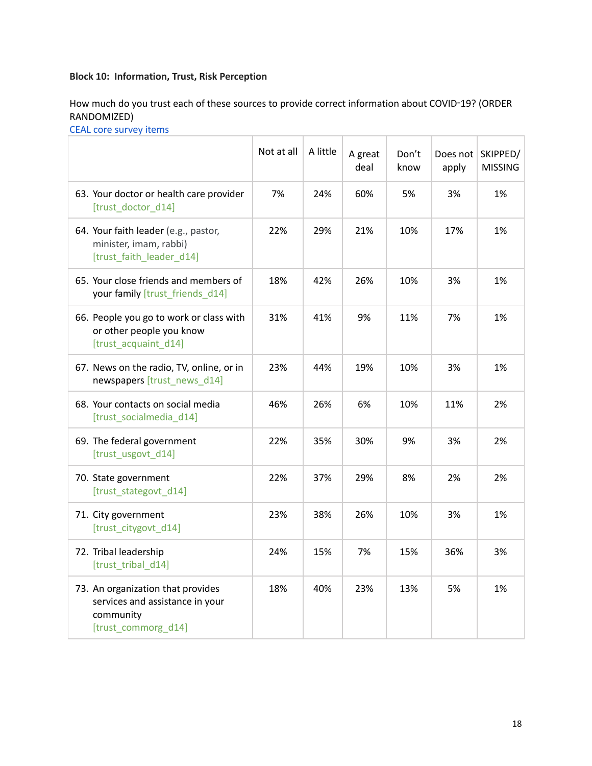# **Block 10: Information, Trust, Risk Perception**

How much do you trust each of these sources to provide correct information about COVID-19? (ORDER RANDOMIZED)

CEAL core survey items

|                                                                                                          | Not at all | A little | A great<br>deal | Don't<br>know | Does not<br>apply | SKIPPED/<br><b>MISSING</b> |
|----------------------------------------------------------------------------------------------------------|------------|----------|-----------------|---------------|-------------------|----------------------------|
| 63. Your doctor or health care provider<br>[trust_doctor_d14]                                            | 7%         | 24%      | 60%             | 5%            | 3%                | 1%                         |
| 64. Your faith leader (e.g., pastor,<br>minister, imam, rabbi)<br>[trust faith leader d14]               | 22%        | 29%      | 21%             | 10%           | 17%               | 1%                         |
| 65. Your close friends and members of<br>your family [trust friends d14]                                 | 18%        | 42%      | 26%             | 10%           | 3%                | 1%                         |
| 66. People you go to work or class with<br>or other people you know<br>[trust acquaint d14]              | 31%        | 41%      | 9%              | 11%           | 7%                | 1%                         |
| 67. News on the radio, TV, online, or in<br>newspapers [trust_news_d14]                                  | 23%        | 44%      | 19%             | 10%           | 3%                | 1%                         |
| 68. Your contacts on social media<br>[trust socialmedia d14]                                             | 46%        | 26%      | 6%              | 10%           | 11%               | 2%                         |
| 69. The federal government<br>[trust usgovt d14]                                                         | 22%        | 35%      | 30%             | 9%            | 3%                | 2%                         |
| 70. State government<br>[trust_stategovt_d14]                                                            | 22%        | 37%      | 29%             | 8%            | 2%                | 2%                         |
| 71. City government<br>[trust citygovt d14]                                                              | 23%        | 38%      | 26%             | 10%           | 3%                | 1%                         |
| 72. Tribal leadership<br>[trust tribal d14]                                                              | 24%        | 15%      | 7%              | 15%           | 36%               | 3%                         |
| 73. An organization that provides<br>services and assistance in your<br>community<br>[trust commorg d14] | 18%        | 40%      | 23%             | 13%           | 5%                | 1%                         |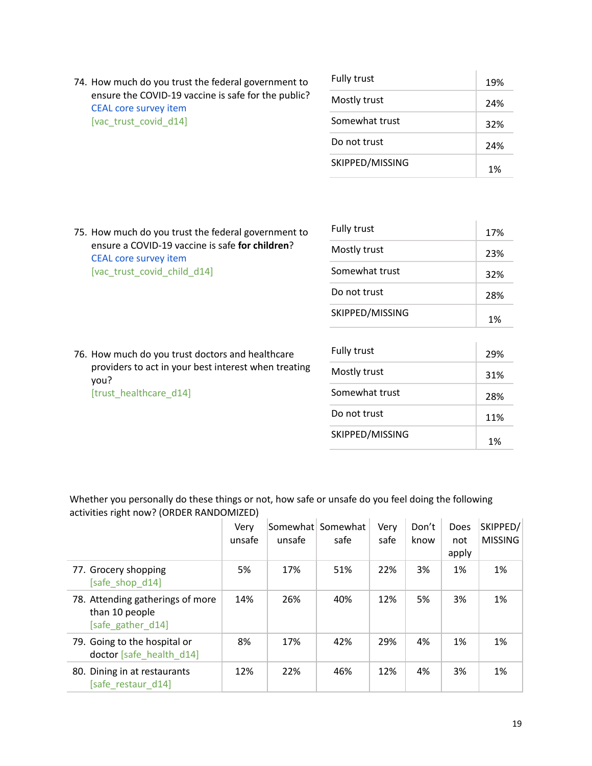74. How much do you trust the federal government to ensure the COVID-19 vaccine is safe for the public? CEAL core survey item [vac\_trust\_covid\_d14]

| Fully trust     | 19% |
|-----------------|-----|
| Mostly trust    | 24% |
| Somewhat trust  | 32% |
| Do not trust    | 24% |
| SKIPPED/MISSING | 1%  |

75. How much do you trust the federal government to ensure a COVID-19 vaccine is safe **for children**? CEAL core survey item [vac\_trust\_covid\_child\_d14]

| Fully trust     | 1.7% |
|-----------------|------|
| Mostly trust    | 23%  |
| Somewhat trust  | 32%  |
| Do not trust    | 28%  |
| SKIPPED/MISSING | 1%   |

76. How much do you trust doctors and healthcare providers to act in your best interest when treating you? [trust\_healthcare\_d14]

| Fully trust     | 29% |
|-----------------|-----|
| Mostly trust    | 31% |
| Somewhat trust  | 28% |
| Do not trust    | 11% |
| SKIPPED/MISSING | 1%  |

Ŷ.

Whether you personally do these things or not, how safe or unsafe do you feel doing the following activities right now? (ORDER RANDOMIZED)  $\sim$  $\sim$  $\sim 10^{-1}$  $\sim 10^{-1}$ **College** 

|                                                                         | Very<br>unsafe | unsafe | Somewhat Somewhat<br>safe | Very<br>safe | Don't<br>know | Does<br>not<br>apply | SKIPPED/<br><b>MISSING</b> |
|-------------------------------------------------------------------------|----------------|--------|---------------------------|--------------|---------------|----------------------|----------------------------|
| 77. Grocery shopping<br>[safe_shop_d14]                                 | 5%             | 17%    | 51%                       | 22%          | 3%            | 1%                   | 1%                         |
| 78. Attending gatherings of more<br>than 10 people<br>[safe_gather_d14] | 14%            | 26%    | 40%                       | 12%          | 5%            | 3%                   | 1%                         |
| 79. Going to the hospital or<br>doctor [safe health d14]                | 8%             | 17%    | 42%                       | 29%          | 4%            | 1%                   | 1%                         |
| 80. Dining in at restaurants<br>[safe restaur d14]                      | 12%            | 22%    | 46%                       | 12%          | 4%            | 3%                   | 1%                         |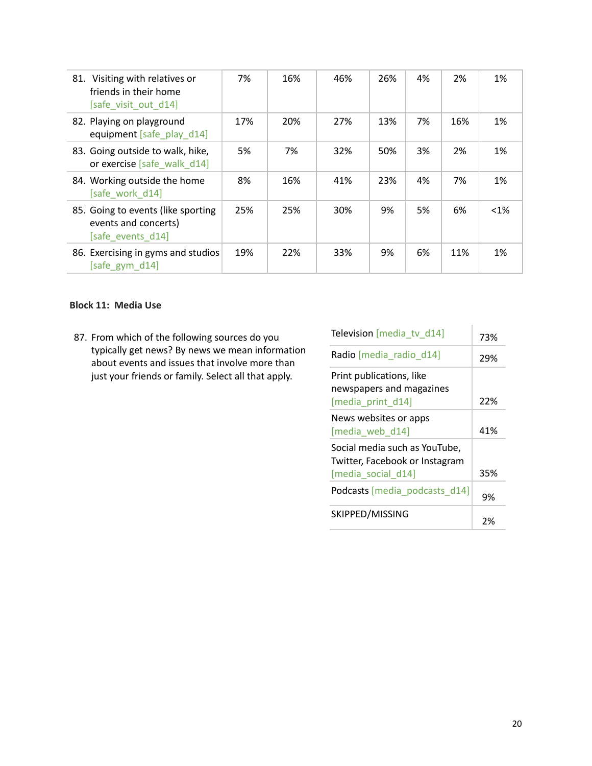| 81. Visiting with relatives or<br>friends in their home<br>[safe visit out d14] | 7%  | 16% | 46% | 26% | 4% | 2%  | 1%      |
|---------------------------------------------------------------------------------|-----|-----|-----|-----|----|-----|---------|
| 82. Playing on playground<br>equipment [safe play d14]                          | 17% | 20% | 27% | 13% | 7% | 16% | 1%      |
| 83. Going outside to walk, hike,<br>or exercise [safe walk d14]                 | 5%  | 7%  | 32% | 50% | 3% | 2%  | 1%      |
| 84. Working outside the home<br>[safe work d14]                                 | 8%  | 16% | 41% | 23% | 4% | 7%  | 1%      |
| 85. Going to events (like sporting<br>events and concerts)<br>[safe events d14] | 25% | 25% | 30% | 9%  | 5% | 6%  | $< 1\%$ |
| 86. Exercising in gyms and studios<br>[safe gym d14]                            | 19% | 22% | 33% | 9%  | 6% | 11% | 1%      |

## **Block 11: Media Use**

87. From which of the following sources do you typically get news? By news we mean information about events and issues that involve more than just your friends or family. Select all that apply.

| Television [media tv d14]                                                             | 73% |
|---------------------------------------------------------------------------------------|-----|
| Radio [media radio d14]                                                               | 29% |
| Print publications, like<br>newspapers and magazines<br>[media print d14]             | 22% |
| News websites or apps<br>[media web d14]                                              | 41% |
| Social media such as YouTube,<br>Twitter, Facebook or Instagram<br>[media social d14] | 35% |
| Podcasts [media_podcasts d14]                                                         | 9%  |
| SKIPPED/MISSING                                                                       | 2%  |

Ť.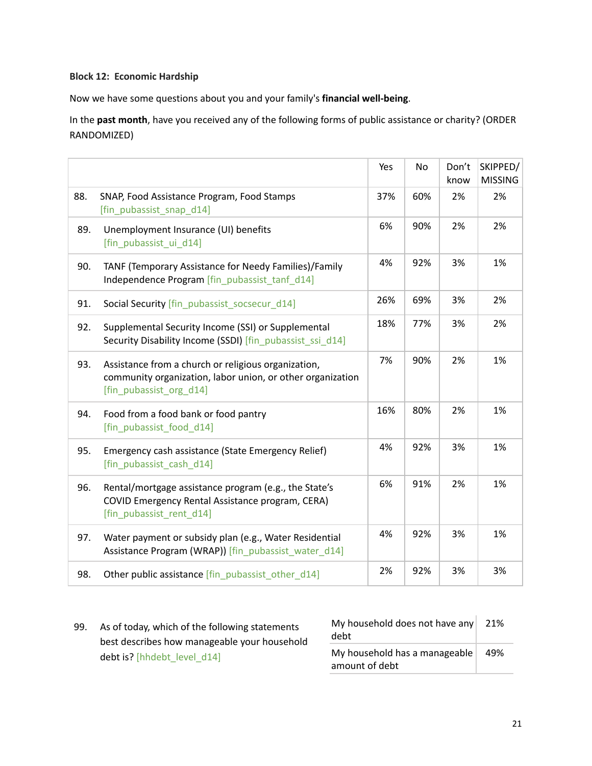#### **Block 12: Economic Hardship**

Now we have some questions about you and your family's **financial well-being**.

In the **past month**, have you received any of the following forms of public assistance or charity? (ORDER RANDOMIZED)

|     |                                                                                                                                              | Yes | No  | Don't<br>know | SKIPPED/<br><b>MISSING</b> |
|-----|----------------------------------------------------------------------------------------------------------------------------------------------|-----|-----|---------------|----------------------------|
| 88. | SNAP, Food Assistance Program, Food Stamps<br>[fin_pubassist_snap_d14]                                                                       | 37% | 60% | 2%            | 2%                         |
| 89. | Unemployment Insurance (UI) benefits<br>[fin pubassist ui d14]                                                                               | 6%  | 90% | 2%            | 2%                         |
| 90. | TANF (Temporary Assistance for Needy Families)/Family<br>Independence Program [fin_pubassist_tanf_d14]                                       | 4%  | 92% | 3%            | 1%                         |
| 91. | Social Security [fin_pubassist_socsecur_d14]                                                                                                 | 26% | 69% | 3%            | 2%                         |
| 92. | Supplemental Security Income (SSI) or Supplemental<br>Security Disability Income (SSDI) [fin pubassist ssi d14]                              | 18% | 77% | 3%            | 2%                         |
| 93. | Assistance from a church or religious organization,<br>community organization, labor union, or other organization<br>[fin_pubassist_org_d14] | 7%  | 90% | 2%            | 1%                         |
| 94. | Food from a food bank or food pantry<br>[fin pubassist food d14]                                                                             | 16% | 80% | 2%            | 1%                         |
| 95. | Emergency cash assistance (State Emergency Relief)<br>[fin_pubassist_cash_d14]                                                               | 4%  | 92% | 3%            | 1%                         |
| 96. | Rental/mortgage assistance program (e.g., the State's<br>COVID Emergency Rental Assistance program, CERA)<br>[fin pubassist rent d14]        | 6%  | 91% | 2%            | 1%                         |
| 97. | Water payment or subsidy plan (e.g., Water Residential<br>Assistance Program (WRAP)) [fin_pubassist_water_d14]                               | 4%  | 92% | 3%            | 1%                         |
| 98. | Other public assistance [fin_pubassist_other_d14]                                                                                            | 2%  | 92% | 3%            | 3%                         |

99. As of today, which of the following statements best describes how manageable your household debt is? [hhdebt\_level\_d14]

| My household does not have any<br>debt          | 21% |
|-------------------------------------------------|-----|
| My household has a manageable<br>amount of debt | 49% |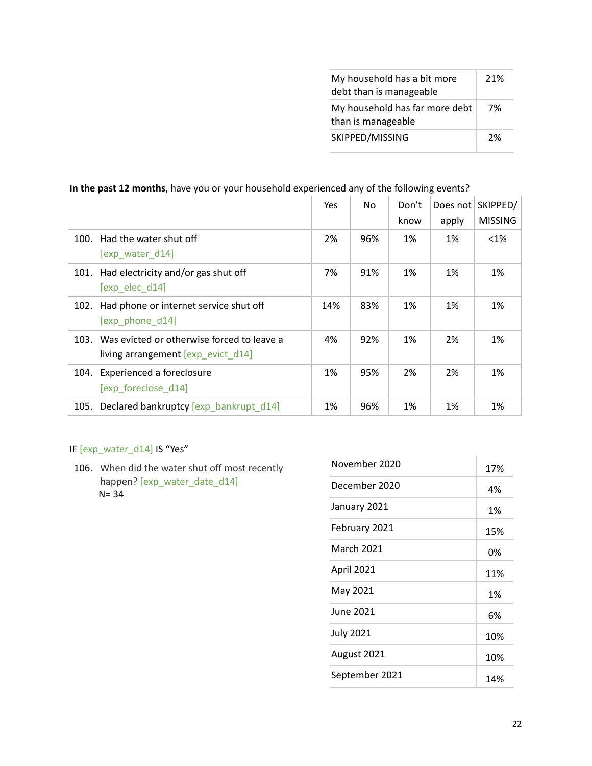| My household has a bit more<br>debt than is manageable | 21% |
|--------------------------------------------------------|-----|
| My household has far more debt<br>than is manageable   | 7%  |
| SKIPPED/MISSING                                        | 2%  |

# **In the past 12 months**, have you or your household experienced any of the following events?

|      |                                                                                  | Yes | No. | Don't | Does not | SKIPPED/       |
|------|----------------------------------------------------------------------------------|-----|-----|-------|----------|----------------|
|      |                                                                                  |     |     | know  | apply    | <b>MISSING</b> |
| 100. | Had the water shut off<br>[exp water d14]                                        | 2%  | 96% | 1%    | 1%       | $<$ 1%         |
|      |                                                                                  |     |     |       |          |                |
|      | 101. Had electricity and/or gas shut off<br>[exp elec d14]                       | 7%  | 91% | 1%    | 1%       | 1%             |
| 102. | Had phone or internet service shut off<br>[exp phone d14]                        | 14% | 83% | 1%    | 1%       | 1%             |
| 103. | Was evicted or otherwise forced to leave a<br>living arrangement [exp_evict_d14] | 4%  | 92% | 1%    | 2%       | 1%             |
| 104. | <b>Experienced a foreclosure</b><br>[exp foreclose d14]                          | 1%  | 95% | 2%    | 2%       | 1%             |
| 105. | Declared bankruptcy [exp_bankrupt_d14]                                           | 1%  | 96% | 1%    | 1%       | 1%             |

# IF [exp\_water\_d14] IS "Yes"

106. When did the water shut off most recently happen? [exp\_water\_date\_d14] N= 34

| November 2020     | 17% |
|-------------------|-----|
| December 2020     | 4%  |
| January 2021      | 1%  |
| February 2021     | 15% |
| <b>March 2021</b> | 0%  |
| April 2021        | 11% |
| May 2021          | 1%  |
| June 2021         | 6%  |
| <b>July 2021</b>  | 10% |
| August 2021       | 10% |
| September 2021    | 14% |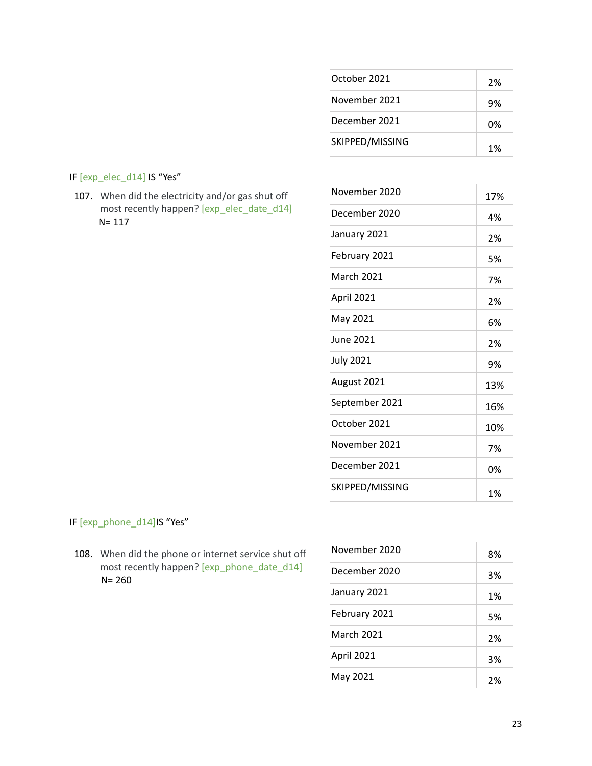| October 2021    | 2% |
|-----------------|----|
| November 2021   | 9% |
| December 2021   | በ% |
| SKIPPED/MISSING | 1% |

# IF [exp\_elec\_d14] IS "Yes"

107. When did the electricity and/or gas shut off most recently happen? [exp\_elec\_date\_d14] N= 117

| November 2020     | 17% |
|-------------------|-----|
| December 2020     | 4%  |
| January 2021      | 2%  |
| February 2021     | 5%  |
| <b>March 2021</b> | 7%  |
| April 2021        | 2%  |
| May 2021          | 6%  |
| June 2021         | 2%  |
| <b>July 2021</b>  | 9%  |
| August 2021       | 13% |
| September 2021    | 16% |
| October 2021      | 10% |
| November 2021     | 7%  |
| December 2021     | 0%  |
| SKIPPED/MISSING   | 1%  |

# IF [exp\_phone\_d14]IS "Yes"

108. When did the phone or internet service shut off most recently happen? [exp\_phone\_date\_d14] N= 260

| November 2020     | 8% |
|-------------------|----|
| December 2020     | 3% |
| January 2021      | 1% |
| February 2021     | 5% |
| <b>March 2021</b> | 2% |
| April 2021        | 3% |
| May 2021          | 2% |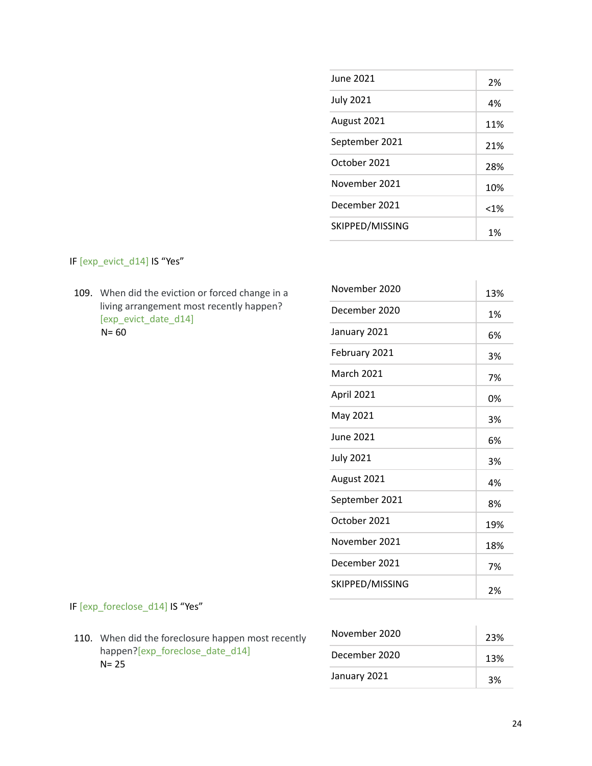| June 2021        | 2%   |
|------------------|------|
| <b>July 2021</b> | 4%   |
| August 2021      | 11%  |
| September 2021   | 21%  |
| October 2021     | 28%  |
| November 2021    | 10%  |
| December 2021    | < 1% |
| SKIPPED/MISSING  | 1%   |

IF [exp\_evict\_d14] IS "Yes"

109. When did the eviction or forced change in a living arrangement most recently happen? [exp\_evict\_date\_d14]  $N = 60$ 

| November 2020     | 13% |
|-------------------|-----|
| December 2020     | 1%  |
| January 2021      | 6%  |
| February 2021     | 3%  |
| <b>March 2021</b> | 7%  |
| April 2021        | 0%  |
| May 2021          | 3%  |
| <b>June 2021</b>  | 6%  |
| <b>July 2021</b>  | 3%  |
| August 2021       | 4%  |
| September 2021    | 8%  |
| October 2021      | 19% |
| November 2021     | 18% |
| December 2021     | 7%  |
| SKIPPED/MISSING   | 2%  |

# IF [exp\_foreclose\_d14] IS "Yes"

110. When did the foreclosure happen most recently happen?[exp\_foreclose\_date\_d14]  $N= 25$ 

| November 2020 | 23% |
|---------------|-----|
| December 2020 | 13% |
| January 2021  | 3%  |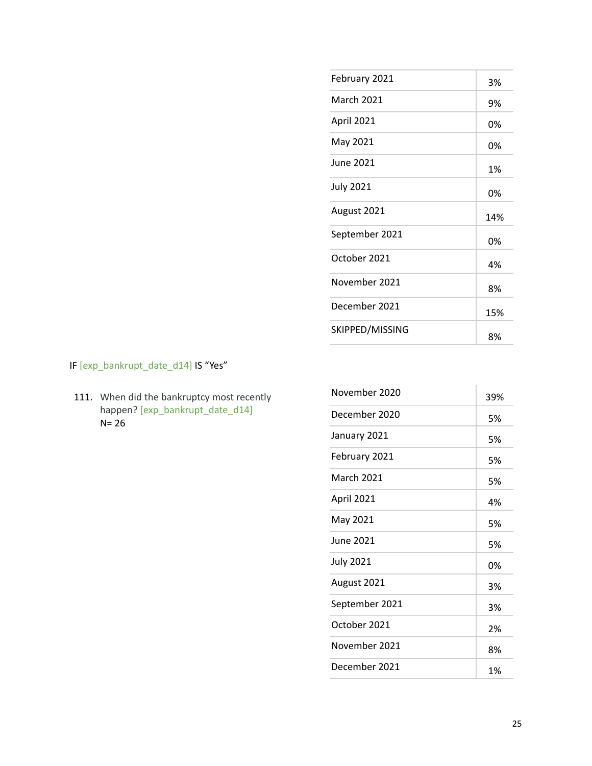| February 2021     | 3%  |
|-------------------|-----|
| <b>March 2021</b> | 9%  |
| April 2021        | 0%  |
| May 2021          | 0%  |
| <b>June 2021</b>  | 1%  |
| <b>July 2021</b>  | 0%  |
| August 2021       | 14% |
| September 2021    | 0%  |
| October 2021      | 4%  |
| November 2021     | 8%  |
| December 2021     | 15% |
| SKIPPED/MISSING   | 8%  |

IF [exp\_bankrupt\_date\_d14] IS "Yes"

111. When did the bankruptcy most recently happen? [exp\_bankrupt\_date\_d14] N= 26

| November 2020    | 39% |
|------------------|-----|
| December 2020    | 5%  |
| January 2021     | 5%  |
| February 2021    | 5%  |
| March 2021       | 5%  |
| April 2021       | 4%  |
| May 2021         | 5%  |
| June 2021        | 5%  |
| <b>July 2021</b> | 0%  |
| August 2021      | 3%  |
| September 2021   | 3%  |
| October 2021     | 2%  |
| November 2021    | 8%  |
| December 2021    | 1%  |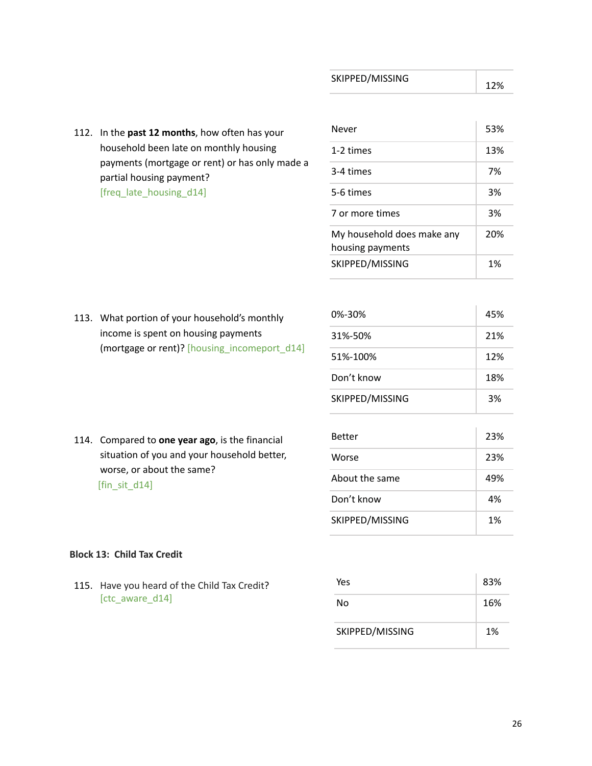12%

112. In the **past 12 months**, how often has your household been late on monthly housing payments (mortgage or rent) or has only made a partial housing payment? [freq\_late\_housing\_d14]

| Never                                          | 53% |
|------------------------------------------------|-----|
| 1-2 times                                      | 13% |
| 3-4 times                                      | 7%  |
| 5-6 times                                      | 3%  |
| 7 or more times                                | 3%  |
| My household does make any<br>housing payments | 20% |
| SKIPPED/MISSING                                | 1%  |

113. What portion of your household's monthly income is spent on housing payments (mortgage or rent)? [housing\_incomeport\_d14]

| $0\% - 30\%$    | 45% |
|-----------------|-----|
| 31%-50%         | 21% |
| 51%-100%        | 12% |
| Don't know      | 18% |
| SKIPPED/MISSING | 3%  |

Better 23%

Worse 23%

About the same 49%

Don't know 4%

SKIPPED/MISSING 1%

114. Compared to **one year ago**, is the financial situation of you and your household better, worse, or about the same? [fin\_sit\_d14]

# **Block 13: Child Tax Credit**

115. Have you heard of the Child Tax Credit? [ctc\_aware\_d14]

| Yes             | 83% |
|-----------------|-----|
| No              | 16% |
| SKIPPED/MISSING | 1%  |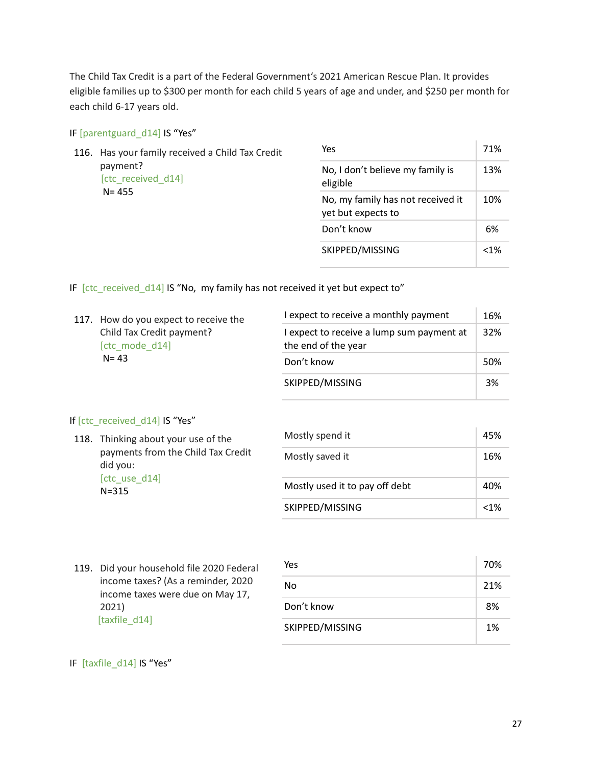The Child Tax Credit is a part of the Federal Government's 2021 American Rescue Plan. It provides eligible families up to \$300 per month for each child 5 years of age and under, and \$250 per month for each child 6-17 years old.

#### IF [parentguard\_d14] IS "Yes"

| 116. Has your family received a Child Tax Credit<br>payment?<br>[ctc received d14]<br>$N = 455$ |                                              | Yes                                                     | 71%     |
|-------------------------------------------------------------------------------------------------|----------------------------------------------|---------------------------------------------------------|---------|
|                                                                                                 | No, I don't believe my family is<br>eligible | 13%                                                     |         |
|                                                                                                 |                                              | No, my family has not received it<br>yet but expects to | 10%     |
|                                                                                                 | Don't know                                   | 6%                                                      |         |
|                                                                                                 |                                              | SKIPPED/MISSING                                         | $< 1\%$ |

IF  $[ctc$  received  $d14]$  IS "No, my family has not received it yet but expect to"

| 117. How do you expect to receive the                   | I expect to receive a monthly payment                            | 16% |
|---------------------------------------------------------|------------------------------------------------------------------|-----|
| Child Tax Credit payment?<br>[ctc mode d14]<br>$N = 43$ | I expect to receive a lump sum payment at<br>the end of the year | 32% |
|                                                         | Don't know                                                       | 50% |
|                                                         | SKIPPED/MISSING                                                  | 3%  |

#### If [ctc\_received\_d14] IS "Yes"

|                                                                                                                     | $\frac{1}{2}$                  |                 |         |  |
|---------------------------------------------------------------------------------------------------------------------|--------------------------------|-----------------|---------|--|
| 118. Thinking about your use of the<br>payments from the Child Tax Credit<br>did you:<br>[ctc_use_d14]<br>$N = 315$ |                                | Mostly spend it | 45%     |  |
|                                                                                                                     | Mostly saved it                | 16%             |         |  |
|                                                                                                                     | Mostly used it to pay off debt | 40%             |         |  |
|                                                                                                                     |                                | SKIPPED/MISSING | $< 1\%$ |  |

119. Did your household file 2020 Federal income taxes? (As a reminder, 2020 income taxes were due on May 17, 2021) [taxfile\_d14]

| Yes             | 70% |
|-----------------|-----|
| No              | 21% |
| Don't know      | 8%  |
| SKIPPED/MISSING | 1%  |

#### IF [taxfile\_d14] IS "Yes"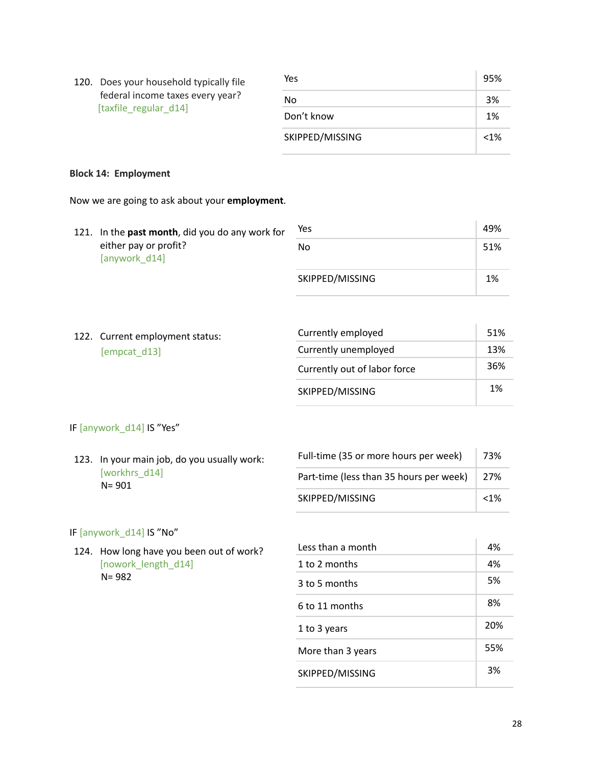| [taxfile regular d14] | 120. Does your household typically file | Yes             | 95% |
|-----------------------|-----------------------------------------|-----------------|-----|
|                       | federal income taxes every year?        | No.             | 3%  |
|                       |                                         | Don't know      | 1%  |
|                       |                                         | SKIPPED/MISSING | <1% |

# **Block 14: Employment**

Now we are going to ask about your **employment**.

| 121. In the past month, did you do any work for | Yes             | 49% |
|-------------------------------------------------|-----------------|-----|
| either pay or profit?<br>[anywork d14]          | No              | 51% |
|                                                 | SKIPPED/MISSING | 1%  |

|  | 122. Current employment status: | Currently employed           | 51%                  |     |
|--|---------------------------------|------------------------------|----------------------|-----|
|  |                                 | [empcat d13]                 | Currently unemployed | 13% |
|  |                                 | Currently out of labor force | 36%                  |     |
|  |                                 | SKIPPED/MISSING              | 1%                   |     |

# IF [anywork\_d14] IS "Yes"

| 123. In your main job, do you usually work: | Full-time (35 or more hours per week)   | 73%  |
|---------------------------------------------|-----------------------------------------|------|
| [workhrs d14]<br>$N = 901$                  | Part-time (less than 35 hours per week) | 27%  |
|                                             | SKIPPED/MISSING                         | < 1% |

## IF [anywork\_d14] IS "No"

124. How long have you been out of work? [nowork\_length\_d14] N= 982

| Less than a month | 4%  |
|-------------------|-----|
| 1 to 2 months     | 4%  |
| 3 to 5 months     | 5%  |
| 6 to 11 months    | 8%  |
| 1 to 3 years      | 20% |
| More than 3 years | 55% |
| SKIPPED/MISSING   | 3%  |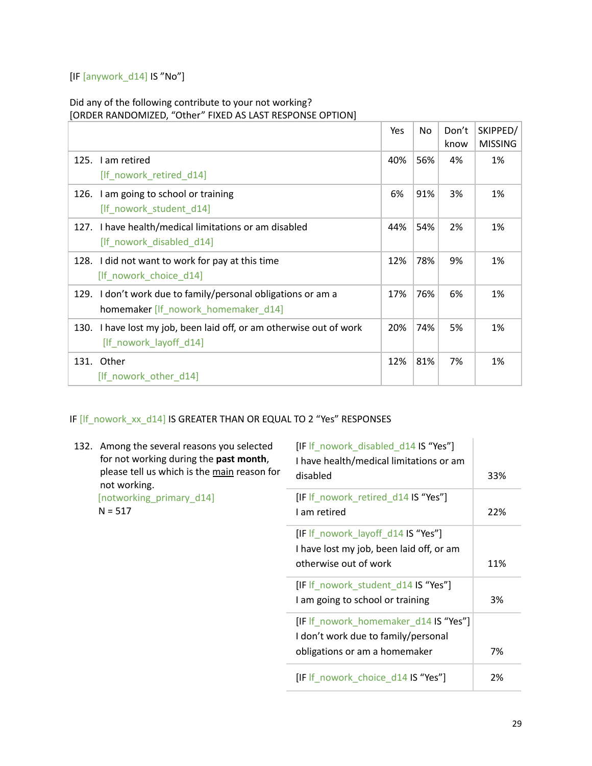# [IF [anywork\_d14] IS "No"]

# Did any of the following contribute to your not working? [ORDER RANDOMIZED, "Other" FIXED AS LAST RESPONSE OPTION]

|                                                                                                     | Yes | No  | Don't<br>know | SKIPPED/<br><b>MISSING</b> |
|-----------------------------------------------------------------------------------------------------|-----|-----|---------------|----------------------------|
| 125. I am retired<br>[If_nowork_retired_d14]                                                        | 40% | 56% | 4%            | 1%                         |
| I am going to school or training<br>126.<br>[If_nowork_student_d14]                                 | 6%  | 91% | 3%            | 1%                         |
| 127. I have health/medical limitations or am disabled<br>[If nowork disabled d14]                   | 44% | 54% | 2%            | 1%                         |
| 128. I did not want to work for pay at this time<br>[If nowork choice d14]                          | 12% | 78% | 9%            | 1%                         |
| 129. I don't work due to family/personal obligations or am a<br>homemaker [If_nowork_homemaker_d14] | 17% | 76% | 6%            | 1%                         |
| I have lost my job, been laid off, or am otherwise out of work<br>130.<br>[If nowork layoff d14]    | 20% | 74% | 5%            | 1%                         |
| Other<br>131.<br>[If nowork other d14]                                                              | 12% | 81% | 7%            | 1%                         |

# IF [lf\_nowork\_xx\_d14] IS GREATER THAN OR EQUAL TO 2 "Yes" RESPONSES

|  | 132. Among the several reasons you selected<br>for not working during the past month,<br>please tell us which is the main reason for<br>not working. | [IF If _nowork_disabled_d14 IS "Yes"]<br>I have health/medical limitations or am<br>disabled                  | 33% |
|--|------------------------------------------------------------------------------------------------------------------------------------------------------|---------------------------------------------------------------------------------------------------------------|-----|
|  | [notworking_primary_d14]<br>$N = 517$                                                                                                                | [IF If nowork retired d14 IS "Yes"]<br>I am retired                                                           | 22% |
|  |                                                                                                                                                      | [IF If nowork layoff d14 IS "Yes"]<br>I have lost my job, been laid off, or am<br>otherwise out of work       | 11% |
|  |                                                                                                                                                      | [IF If nowork student d14 IS "Yes"]<br>I am going to school or training                                       | 3%  |
|  |                                                                                                                                                      | [IF If nowork homemaker d14 IS "Yes"]<br>I don't work due to family/personal<br>obligations or am a homemaker | 7%  |
|  |                                                                                                                                                      | [IF If nowork choice d14 IS "Yes"]                                                                            | 2%  |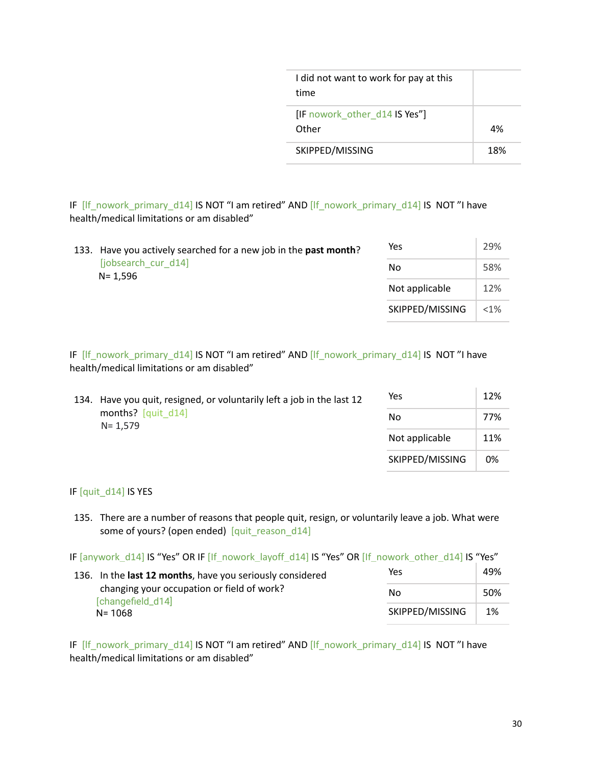| I did not want to work for pay at this<br>time |     |
|------------------------------------------------|-----|
| [IF nowork other d14 IS Yes"]<br>Other         | 4%  |
| SKIPPED/MISSING                                | 18% |

IF [lf\_nowork\_primary\_d14] IS NOT "I am retired" AND [lf\_nowork\_primary\_d14] IS NOT "I have health/medical limitations or am disabled"

| 133. Have you actively searched for a new job in the past month? | Yes             | 29%     |
|------------------------------------------------------------------|-----------------|---------|
| [jobsearch cur d14]<br>N= 1.596                                  | No              | 58%     |
|                                                                  | Not applicable  | 12%     |
|                                                                  | SKIPPED/MISSING | $< 1\%$ |

IF [lf\_nowork\_primary\_d14] IS NOT "I am retired" AND [lf\_nowork\_primary\_d14] IS NOT "I have health/medical limitations or am disabled"

| 134. Have you quit, resigned, or voluntarily left a job in the last 12 | Yes             | 12% |
|------------------------------------------------------------------------|-----------------|-----|
| months? [quit d14]<br>$N = 1.579$                                      | No              | 77% |
|                                                                        | Not applicable  | 11% |
|                                                                        | SKIPPED/MISSING | 0%  |

IF [quit\_d14] IS YES

135. There are a number of reasons that people quit, resign, or voluntarily leave a job. What were some of yours? (open ended) [quit\_reason\_d14]

IF [anywork\_d14] IS "Yes" OR IF [If\_nowork\_layoff\_d14] IS "Yes" OR [If\_nowork\_other\_d14] IS "Yes"

| 136. In the <b>last 12 months</b> , have you seriously considered             | Yes             |     |  |
|-------------------------------------------------------------------------------|-----------------|-----|--|
| changing your occupation or field of work?<br>[changefield_d14]<br>$N = 1068$ | Nο              | 50% |  |
|                                                                               | SKIPPED/MISSING | 1%  |  |

IF [lf\_nowork\_primary\_d14] IS NOT "I am retired" AND [lf\_nowork\_primary\_d14] IS NOT "I have health/medical limitations or am disabled"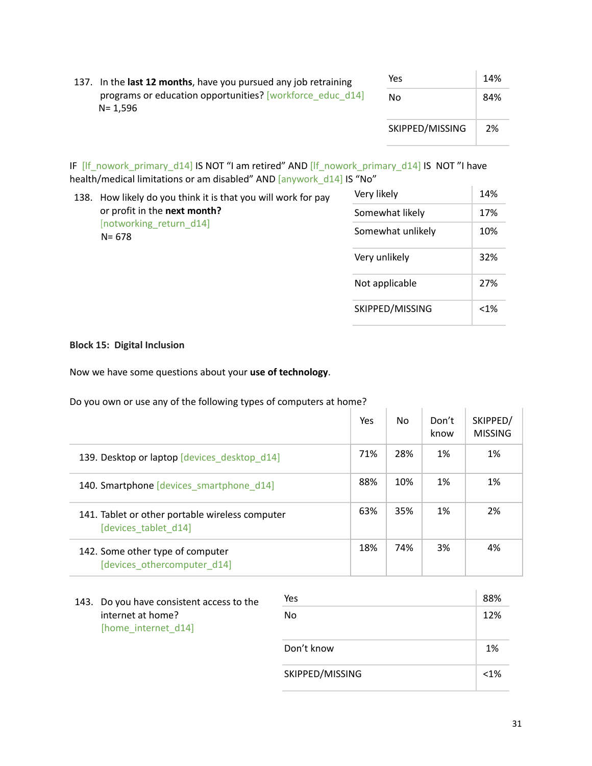| 137. In the last 12 months, have you pursued any job retraining          | Yes             | 14% |
|--------------------------------------------------------------------------|-----------------|-----|
| programs or education opportunities? [workforce educ d14]<br>$N = 1.596$ | No.             | 84% |
|                                                                          | SKIPPED/MISSING | 2%  |

IF [lf\_nowork\_primary\_d14] IS NOT "I am retired" AND [lf\_nowork\_primary\_d14] IS NOT "I have health/medical limitations or am disabled" AND [anywork\_d14] IS "No"

| 138. | How likely do you think it is that you will work for pay             | Very likely       | 14%     |
|------|----------------------------------------------------------------------|-------------------|---------|
|      | or profit in the next month?<br>[notworking return d14]<br>$N = 678$ | Somewhat likely   | 17%     |
|      |                                                                      | Somewhat unlikely | 10%     |
|      |                                                                      | Very unlikely     | 32%     |
|      |                                                                      | Not applicable    | 27%     |
|      |                                                                      | SKIPPED/MISSING   | $< 1\%$ |

#### **Block 15: Digital Inclusion**

Now we have some questions about your **use of technology**.

Do you own or use any of the following types of computers at home?

|                                                                         | Yes | No. | Don't<br>know | SKIPPED/<br><b>MISSING</b> |
|-------------------------------------------------------------------------|-----|-----|---------------|----------------------------|
| 139. Desktop or laptop [devices desktop d14]                            | 71% | 28% | 1%            | 1%                         |
| 140. Smartphone [devices smartphone d14]                                | 88% | 10% | 1%            | 1%                         |
| 141. Tablet or other portable wireless computer<br>[devices tablet d14] | 63% | 35% | 1%            | 2%                         |
| 142. Some other type of computer<br>[devices othercomputer d14]         | 18% | 74% | 3%            | 4%                         |

143. Do you have consistent access to the internet at home? [home\_internet\_d14]

| Yes             | 88%  |
|-----------------|------|
| No              | 12%  |
| Don't know      | 1%   |
| SKIPPED/MISSING | < 1% |

÷.

 $\sim$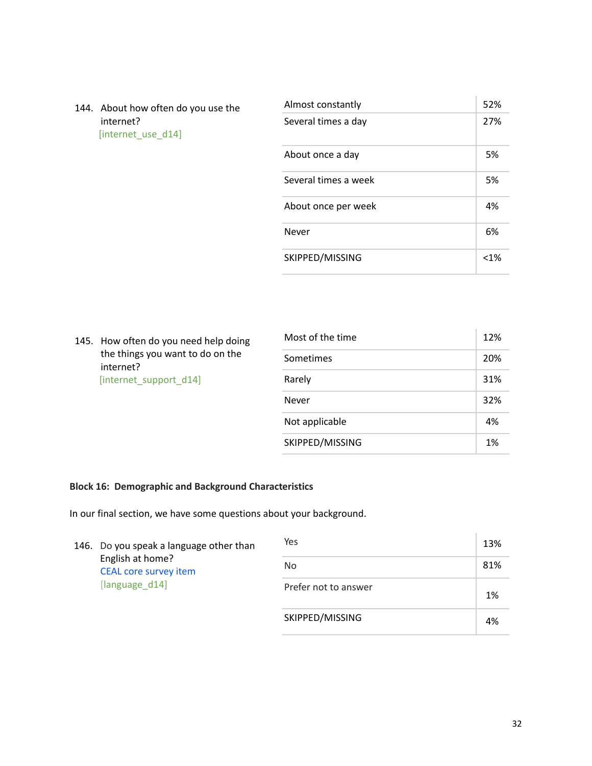144. About how often do you use the internet? [internet\_use\_d14]

| Almost constantly    | 52%  |
|----------------------|------|
| Several times a day  | 27%  |
| About once a day     | 5%   |
| Several times a week | 5%   |
| About once per week  | 4%   |
| Never                | 6%   |
| SKIPPED/MISSING      | < 1% |

÷.

145. How often do you need help doing the things you want to do on the internet? [internet\_support\_d14]

| Most of the time | 12% |
|------------------|-----|
| Sometimes        | 20% |
| Rarely           | 31% |
| Never            | 32% |
| Not applicable   | 4%  |
| SKIPPED/MISSING  | 1%  |

# **Block 16: Demographic and Background Characteristics**

In our final section, we have some questions about your background.

|  | 146. Do you speak a language other than<br>English at home?<br><b>CEAL core survey item</b><br>[language d14] | Yes                  | 13% |
|--|---------------------------------------------------------------------------------------------------------------|----------------------|-----|
|  |                                                                                                               | No.                  | 81% |
|  |                                                                                                               | Prefer not to answer | 1%  |
|  |                                                                                                               | SKIPPED/MISSING      | 4%  |

 $\mathbb{L}$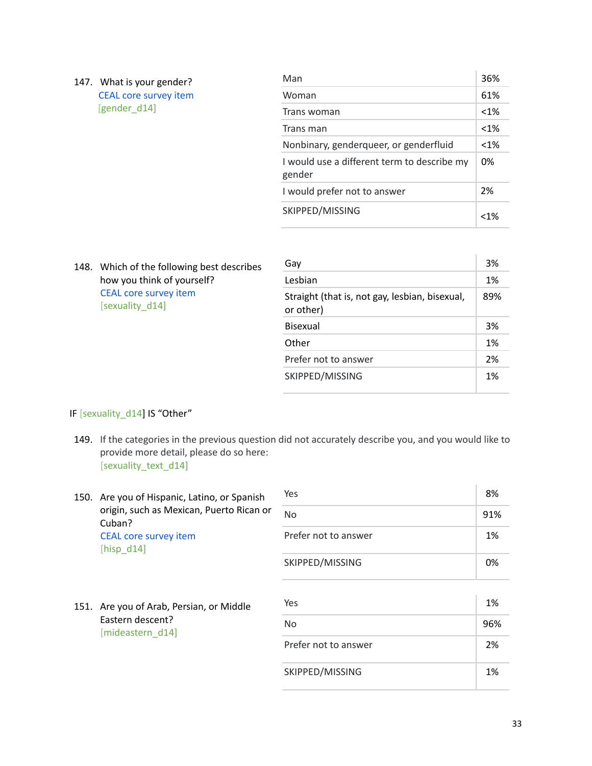| 147. | What is your gender?<br><b>CEAL core survey item</b><br>[gender d14] | Man                                                   | 36%    |
|------|----------------------------------------------------------------------|-------------------------------------------------------|--------|
|      |                                                                      | Woman                                                 | 61%    |
|      |                                                                      | Trans woman                                           | $<1\%$ |
|      |                                                                      | Trans man                                             | $<1\%$ |
|      |                                                                      | Nonbinary, genderqueer, or genderfluid                | $<1\%$ |
|      |                                                                      | I would use a different term to describe my<br>gender | 0%     |
|      |                                                                      | I would prefer not to answer                          | 2%     |
|      |                                                                      | SKIPPED/MISSING                                       | < 1%   |

148. Which of the following best describes how you think of yourself? CEAL core survey item [sexuality\_d14] Gay 3% Lesbian 1% and 1% Straight (that is, not gay, lesbian, bisexual, or other) 89% Bisexual 3% Other 2016 1% Prefer not to answer 2% SKIPPED/MISSING 1%

## IF [sexuality\_d14] IS "Other"

- 149. If the categories in the previous question did not accurately describe you, and you would like to provide more detail, please do so here: [sexuality\_text\_d14]
- 150. Are you of Hispanic, Latino, or Spanish origin, such as Mexican, Puerto Rican or Cuban? CEAL core survey item [hisp\_d14] Yes 8% No 91% Prefer not to answer 1% SKIPPED/MISSING 20% 151. Are you of Arab, Persian, or Middle Eastern descent? [mideastern\_d14]  $Yes$  and  $1\%$ No 36% Prefer not to answer 2% SKIPPED/MISSING 1%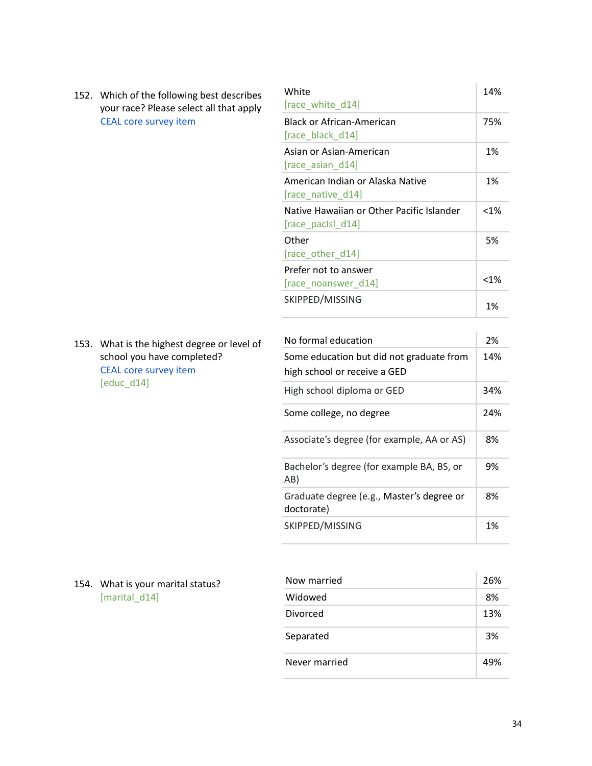152. Which of the following best describes your race? Please select all that apply CEAL core survey item

153. What is the highest degree or level of school you have completed? CEAL core survey item [educ\_d14]

| Black or African-American                                      | 75%     |
|----------------------------------------------------------------|---------|
| [race_black_d14]                                               |         |
| Asian or Asian-American<br>$[race$ asian $d14]$                | 1%      |
| American Indian or Alaska Native<br>[race_native_d14]          | 1%      |
| Native Hawaiian or Other Pacific Islander<br>[race_pacisl_d14] | $< 1\%$ |
| Other<br>[race_other_d14]                                      | 5%      |
| Prefer not to answer<br>[race_noanswer_d14]                    | $< 1\%$ |
| SKIPPED/MISSING                                                | 1%      |

 $\bar{1}$ 

| No formal education                                                      | 2%  |
|--------------------------------------------------------------------------|-----|
| Some education but did not graduate from<br>high school or receive a GED | 14% |
| High school diploma or GED                                               | 34% |
| Some college, no degree                                                  | 24% |
| Associate's degree (for example, AA or AS)                               | 8%  |
| Bachelor's degree (for example BA, BS, or<br>AB)                         | 9%  |
| Graduate degree (e.g., Master's degree or<br>doctorate)                  | 8%  |
| SKIPPED/MISSING                                                          | 1%  |

154. What is your marital status? [marital\_d14]

| Now married   | 26% |
|---------------|-----|
| Widowed       | 8%  |
| Divorced      | 13% |
| Separated     | 3%  |
| Never married | 49% |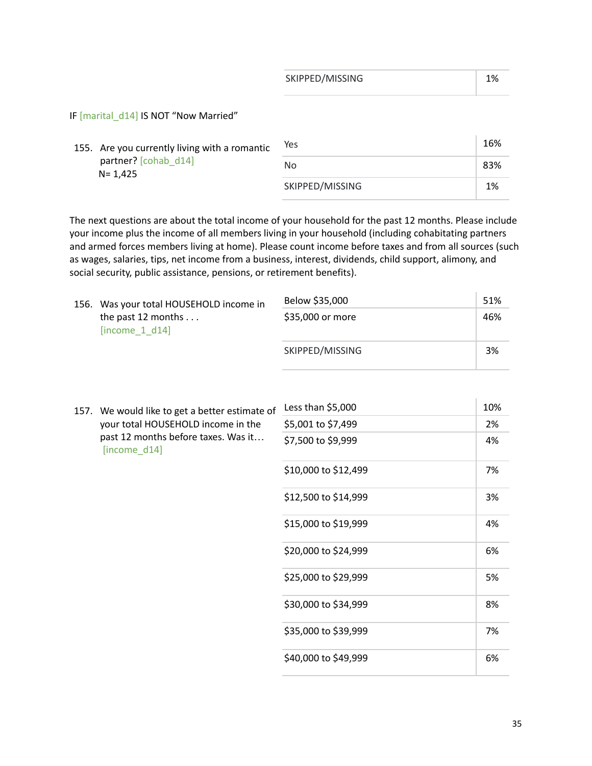| SKIPPED/MISSING |  |
|-----------------|--|
|                 |  |

 $\mathbf{r}$ 

IF [marital\_d14] IS NOT "Now Married"

| 155. Are you currently living with a romantic<br>partner? [cohab d14]<br>N= 1.425 | Yes | 16%             |
|-----------------------------------------------------------------------------------|-----|-----------------|
|                                                                                   | No  | 83%             |
|                                                                                   |     | SKIPPED/MISSING |

The next questions are about the total income of your household for the past 12 months. Please include your income plus the income of all members living in your household (including cohabitating partners and armed forces members living at home). Please count income before taxes and from all sources (such as wages, salaries, tips, net income from a business, interest, dividends, child support, alimony, and social security, public assistance, pensions, or retirement benefits).

|  | 156. Was your total HOUSEHOLD income in<br>the past 12 months<br>[income $1$ d $14$ ] | Below \$35,000<br>\$35,000 or more | 51%<br>46% |
|--|---------------------------------------------------------------------------------------|------------------------------------|------------|
|  |                                                                                       | SKIPPED/MISSING                    | 3%         |

|  | 157. We would like to get a better estimate of<br>your total HOUSEHOLD income in the<br>past 12 months before taxes. Was it<br>[income_d14] | Less than $$5,000$   | 10% |
|--|---------------------------------------------------------------------------------------------------------------------------------------------|----------------------|-----|
|  |                                                                                                                                             | \$5,001 to \$7,499   | 2%  |
|  |                                                                                                                                             | \$7,500 to \$9,999   | 4%  |
|  |                                                                                                                                             | \$10,000 to \$12,499 | 7%  |
|  |                                                                                                                                             | \$12,500 to \$14,999 | 3%  |
|  |                                                                                                                                             | \$15,000 to \$19,999 | 4%  |
|  |                                                                                                                                             | \$20,000 to \$24,999 | 6%  |
|  |                                                                                                                                             | \$25,000 to \$29,999 | 5%  |
|  |                                                                                                                                             | \$30,000 to \$34,999 | 8%  |
|  |                                                                                                                                             | \$35,000 to \$39,999 | 7%  |
|  |                                                                                                                                             | \$40,000 to \$49,999 | 6%  |